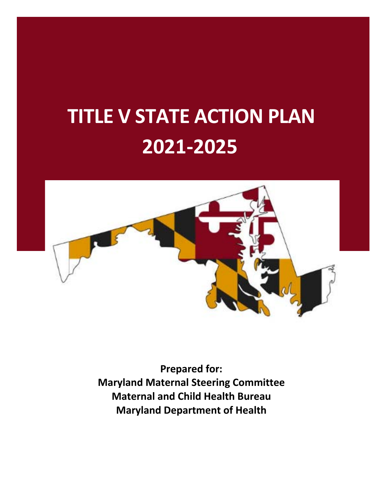# **TITLE V STATE ACTION PLAN 2021‐2025**



**Prepared for: Maryland Maternal Steering Committee Maternal and Child Health Bureau Maryland Department of Health**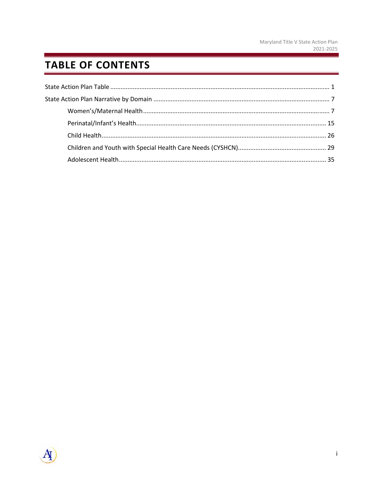# **TABLE OF CONTENTS**

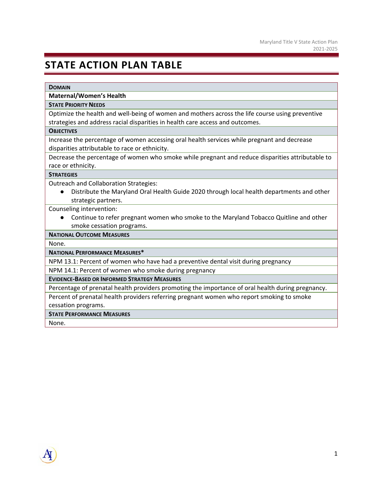# **STATE ACTION PLAN TABLE**

#### **DOMAIN**

#### **Maternal/Women's Health**

#### **STATE PRIORITY NEEDS**

Optimize the health and well‐being of women and mothers across the life course using preventive strategies and address racial disparities in health care access and outcomes.

#### **OBJECTIVES**

Increase the percentage of women accessing oral health services while pregnant and decrease disparities attributable to race or ethnicity.

Decrease the percentage of women who smoke while pregnant and reduce disparities attributable to race or ethnicity.

#### **STRATEGIES**

Outreach and Collaboration Strategies:

Distribute the Maryland Oral Health Guide 2020 through local health departments and other strategic partners.

Counseling intervention:

● Continue to refer pregnant women who smoke to the Maryland Tobacco Quitline and other smoke cessation programs.

#### **NATIONAL OUTCOME MEASURES**

None.

**NATIONAL PERFORMANCE MEASURES\***

NPM 13.1: Percent of women who have had a preventive dental visit during pregnancy

NPM 14.1: Percent of women who smoke during pregnancy

**EVIDENCE‐BASED OR INFORMED STRATEGY MEASURES**

Percentage of prenatal health providers promoting the importance of oral health during pregnancy.

Percent of prenatal health providers referring pregnant women who report smoking to smoke cessation programs.

**STATE PERFORMANCE MEASURES**

None.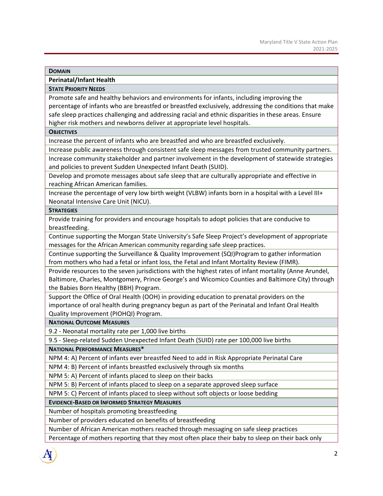**Perinatal/Infant Health** 

#### **STATE PRIORITY NEEDS**

Promote safe and healthy behaviors and environments for infants, including improving the percentage of infants who are breastfed or breastfed exclusively, addressing the conditions that make safe sleep practices challenging and addressing racial and ethnic disparities in these areas. Ensure higher risk mothers and newborns deliver at appropriate level hospitals.

#### **OBJECTIVES**

Increase the percent of infants who are breastfed and who are breastfed exclusively.

Increase public awareness through consistent safe sleep messages from trusted community partners. Increase community stakeholder and partner involvement in the development of statewide strategies and policies to prevent Sudden Unexpected Infant Death (SUID).

Develop and promote messages about safe sleep that are culturally appropriate and effective in reaching African American families.

Increase the percentage of very low birth weight (VLBW) infants born in a hospital with a Level III+ Neonatal Intensive Care Unit (NICU).

#### **STRATEGIES**

Provide training for providers and encourage hospitals to adopt policies that are conducive to breastfeeding.

Continue supporting the Morgan State University's Safe Sleep Project's development of appropriate messages for the African American community regarding safe sleep practices.

Continue supporting the Surveillance & Quality Improvement (SQI)Program to gather information from mothers who had a fetal or infant loss, the Fetal and Infant Mortality Review (FIMR).

Provide resources to the seven jurisdictions with the highest rates of infant mortality (Anne Arundel, Baltimore, Charles, Montgomery, Prince George's and Wicomico Counties and Baltimore City) through the Babies Born Healthy (BBH) Program.

Support the Office of Oral Health (OOH) in providing education to prenatal providers on the importance of oral health during pregnancy begun as part of the Perinatal and Infant Oral Health Quality Improvement (PIOHQI) Program.

**NATIONAL OUTCOME MEASURES**

9.2 ‐ Neonatal mortality rate per 1,000 live births

9.5 - Sleep-related Sudden Unexpected Infant Death (SUID) rate per 100,000 live births

**NATIONAL PERFORMANCE MEASURES\***

NPM 4: A) Percent of infants ever breastfed Need to add in Risk Appropriate Perinatal Care

NPM 4: B) Percent of infants breastfed exclusively through six months

NPM 5: A) Percent of infants placed to sleep on their backs

NPM 5: B) Percent of infants placed to sleep on a separate approved sleep surface

NPM 5: C) Percent of infants placed to sleep without soft objects or loose bedding

**EVIDENCE‐BASED OR INFORMED STRATEGY MEASURES**

Number of hospitals promoting breastfeeding

Number of providers educated on benefits of breastfeeding

Number of African American mothers reached through messaging on safe sleep practices

Percentage of mothers reporting that they most often place their baby to sleep on their back only

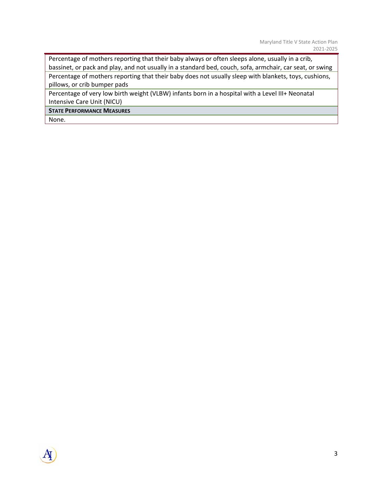Percentage of mothers reporting that their baby always or often sleeps alone, usually in a crib, bassinet, or pack and play, and not usually in a standard bed, couch, sofa, armchair, car seat, or swing

Percentage of mothers reporting that their baby does not usually sleep with blankets, toys, cushions, pillows, or crib bumper pads

Percentage of very low birth weight (VLBW) infants born in a hospital with a Level III+ Neonatal Intensive Care Unit (NICU)

**STATE PERFORMANCE MEASURES**

None.

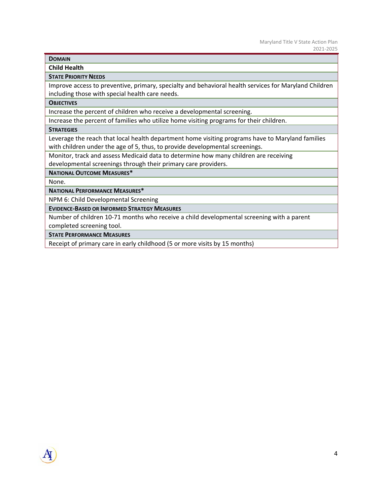**Child Health** 

#### **STATE PRIORITY NEEDS**

Improve access to preventive, primary, specialty and behavioral health services for Maryland Children including those with special health care needs.

#### **OBJECTIVES**

Increase the percent of children who receive a developmental screening.

Increase the percent of families who utilize home visiting programs for their children.

#### **STRATEGIES**

Leverage the reach that local health department home visiting programs have to Maryland families with children under the age of 5, thus, to provide developmental screenings.

Monitor, track and assess Medicaid data to determine how many children are receiving

developmental screenings through their primary care providers.

#### **NATIONAL OUTCOME MEASURES\***

None.

**NATIONAL PERFORMANCE MEASURES\***

NPM 6: Child Developmental Screening

**EVIDENCE‐BASED OR INFORMED STRATEGY MEASURES**

Number of children 10‐71 months who receive a child developmental screening with a parent completed screening tool.

**STATE PERFORMANCE MEASURES**

Receipt of primary care in early childhood (5 or more visits by 15 months)

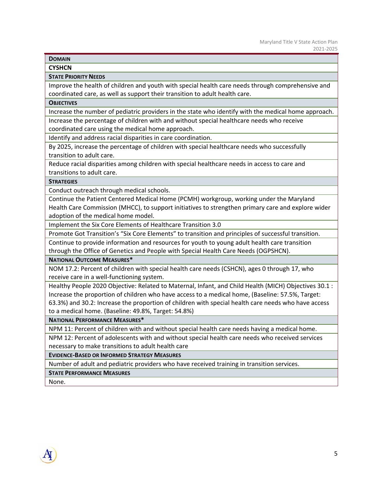**CYSHCN** 

#### **STATE PRIORITY NEEDS**

Improve the health of children and youth with special health care needs through comprehensive and coordinated care, as well as support their transition to adult health care.

#### **OBJECTIVES**

Increase the number of pediatric providers in the state who identify with the medical home approach. Increase the percentage of children with and without special healthcare needs who receive coordinated care using the medical home approach.

Identify and address racial disparities in care coordination.

By 2025, increase the percentage of children with special healthcare needs who successfully transition to adult care.

Reduce racial disparities among children with special healthcare needs in access to care and transitions to adult care.

#### **STRATEGIES**

Conduct outreach through medical schools.

Continue the Patient Centered Medical Home (PCMH) workgroup, working under the Maryland Health Care Commission (MHCC), to support initiatives to strengthen primary care and explore wider adoption of the medical home model.

Implement the Six Core Elements of Healthcare Transition 3.0

Promote Got Transition's "Six Core Elements" to transition and principles of successful transition.

Continue to provide information and resources for youth to young adult health care transition through the Office of Genetics and People with Special Health Care Needs (OGPSHCN).

#### **NATIONAL OUTCOME MEASURES\***

NOM 17.2: Percent of children with special health care needs (CSHCN), ages 0 through 17, who receive care in a well‐functioning system.

Healthy People 2020 Objective: Related to Maternal, Infant, and Child Health (MICH) Objectives 30.1 : Increase the proportion of children who have access to a medical home, (Baseline: 57.5%, Target: 63.3%) and 30.2: Increase the proportion of children with special health care needs who have access to a medical home. (Baseline: 49.8%, Target: 54.8%)

**NATIONAL PERFORMANCE MEASURES\***

NPM 11: Percent of children with and without special health care needs having a medical home.

NPM 12: Percent of adolescents with and without special health care needs who received services necessary to make transitions to adult health care

**EVIDENCE‐BASED OR INFORMED STRATEGY MEASURES**

Number of adult and pediatric providers who have received training in transition services.

#### **STATE PERFORMANCE MEASURES**

None.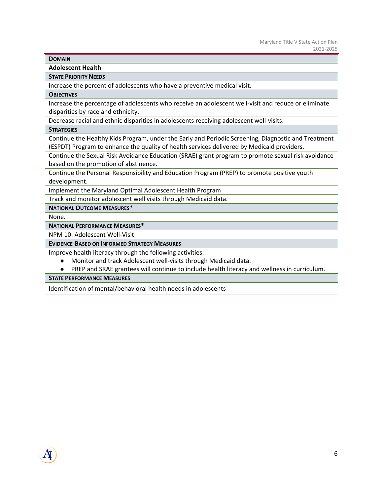**Adolescent Health** 

**STATE PRIORITY NEEDS**

Increase the percent of adolescents who have a preventive medical visit.

#### **OBJECTIVES**

Increase the percentage of adolescents who receive an adolescent well‐visit and reduce or eliminate disparities by race and ethnicity.

Decrease racial and ethnic disparities in adolescents receiving adolescent well-visits.

**STRATEGIES**

Continue the Healthy Kids Program, under the Early and Periodic Screening, Diagnostic and Treatment (ESPDT) Program to enhance the quality of health services delivered by Medicaid providers.

Continue the Sexual Risk Avoidance Education (SRAE) grant program to promote sexual risk avoidance based on the promotion of abstinence.

Continue the Personal Responsibility and Education Program (PREP) to promote positive youth development.

Implement the Maryland Optimal Adolescent Health Program

Track and monitor adolescent well visits through Medicaid data.

**NATIONAL OUTCOME MEASURES\*** 

None.

#### **NATIONAL PERFORMANCE MEASURES\***

NPM 10: Adolescent Well‐Visit

#### **EVIDENCE‐BASED OR INFORMED STRATEGY MEASURES**

Improve health literacy through the following activities:

- Monitor and track Adolescent well-visits through Medicaid data.
- PREP and SRAE grantees will continue to include health literacy and wellness in curriculum.

**STATE PERFORMANCE MEASURES**

Identification of mental/behavioral health needs in adolescents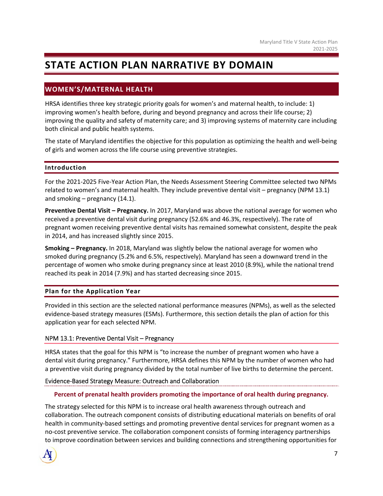# **STATE ACTION PLAN NARRATIVE BY DOMAIN**

# **WOMEN'S/MATERNAL HEALTH**

HRSA identifies three key strategic priority goals for women's and maternal health, to include: 1) improving women's health before, during and beyond pregnancy and across their life course; 2) improving the quality and safety of maternity care; and 3) improving systems of maternity care including both clinical and public health systems.

The state of Maryland identifies the objective for this population as optimizing the health and well‐being of girls and women across the life course using preventive strategies.

# **Introduction**

For the 2021‐2025 Five‐Year Action Plan, the Needs Assessment Steering Committee selected two NPMs related to women's and maternal health. They include preventive dental visit – pregnancy (NPM 13.1) and smoking – pregnancy (14.1).

**Preventive Dental Visit – Pregnancy.** In 2017, Maryland was above the national average for women who received a preventive dental visit during pregnancy (52.6% and 46.3%, respectively). The rate of pregnant women receiving preventive dental visits has remained somewhat consistent, despite the peak in 2014, and has increased slightly since 2015.

**Smoking – Pregnancy.** In 2018, Maryland was slightly below the national average for women who smoked during pregnancy (5.2% and 6.5%, respectively). Maryland has seen a downward trend in the percentage of women who smoke during pregnancy since at least 2010 (8.9%), while the national trend reached its peak in 2014 (7.9%) and has started decreasing since 2015.

# **Plan for the Application Year**

Provided in this section are the selected national performance measures (NPMs), as well as the selected evidence‐based strategy measures (ESMs). Furthermore, this section details the plan of action for this application year for each selected NPM.

# NPM 13.1: Preventive Dental Visit – Pregnancy

HRSA states that the goal for this NPM is "to increase the number of pregnant women who have a dental visit during pregnancy." Furthermore, HRSA defines this NPM by the number of women who had a preventive visit during pregnancy divided by the total number of live births to determine the percent.

# Evidence‐Based Strategy Measure: Outreach and Collaboration

#### **Percent of prenatal health providers promoting the importance of oral health during pregnancy.**

The strategy selected for this NPM is to increase oral health awareness through outreach and collaboration. The outreach component consists of distributing educational materials on benefits of oral health in community-based settings and promoting preventive dental services for pregnant women as a no-cost preventive service. The collaboration component consists of forming interagency partnerships to improve coordination between services and building connections and strengthening opportunities for

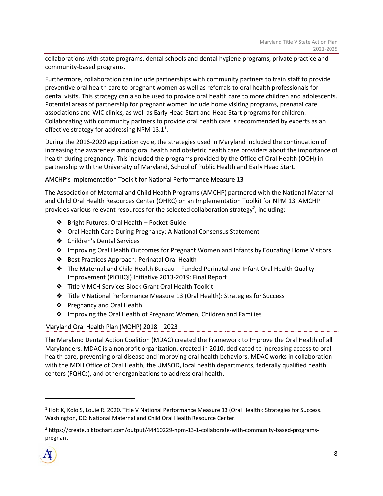collaborations with state programs, dental schools and dental hygiene programs, private practice and community‐based programs.

Furthermore, collaboration can include partnerships with community partners to train staff to provide preventive oral health care to pregnant women as well as referrals to oral health professionals for dental visits. This strategy can also be used to provide oral health care to more children and adolescents. Potential areas of partnership for pregnant women include home visiting programs, prenatal care associations and WIC clinics, as well as Early Head Start and Head Start programs for children. Collaborating with community partners to provide oral health care is recommended by experts as an effective strategy for addressing NPM 13.1<sup>1</sup>.

During the 2016‐2020 application cycle, the strategies used in Maryland included the continuation of increasing the awareness among oral health and obstetric health care providers about the importance of health during pregnancy. This included the programs provided by the Office of Oral Health (OOH) in partnership with the University of Maryland, School of Public Health and Early Head Start.

# AMCHP's Implementation Toolkit for National Performance Measure 13

The Association of Maternal and Child Health Programs (AMCHP) partnered with the National Maternal and Child Oral Health Resources Center (OHRC) on an Implementation Toolkit for NPM 13. AMCHP provides various relevant resources for the selected collaboration strategy<sup>2</sup>, including:

- ❖ Bright Futures: Oral Health Pocket Guide
- ❖ Oral Health Care During Pregnancy: A National Consensus Statement
- ❖ Children's Dental Services
- ❖ Improving Oral Health Outcomes for Pregnant Women and Infants by Educating Home Visitors
- ❖ Best Practices Approach: Perinatal Oral Health
- ❖ The Maternal and Child Health Bureau Funded Perinatal and Infant Oral Health Quality Improvement (PIOHQI) Initiative 2013‐2019: Final Report
- ❖ Title V MCH Services Block Grant Oral Health Toolkit
- ❖ Title V National Performance Measure 13 (Oral Health): Strategies for Success
- ❖ Pregnancy and Oral Health
- ❖ Improving the Oral Health of Pregnant Women, Children and Families

# Maryland Oral Health Plan (MOHP) 2018 – 2023

The Maryland Dental Action Coalition (MDAC) created the Framework to Improve the Oral Health of all Marylanders. MDAC is a nonprofit organization, created in 2010, dedicated to increasing access to oral health care, preventing oral disease and improving oral health behaviors. MDAC works in collaboration with the MDH Office of Oral Health, the UMSOD, local health departments, federally qualified health centers (FQHCs), and other organizations to address oral health.

<sup>&</sup>lt;sup>2</sup> https://create.piktochart.com/output/44460229-npm-13-1-collaborate-with-community-based-programspregnant



 $^1$  Holt K, Kolo S, Louie R. 2020. Title V National Performance Measure 13 (Oral Health): Strategies for Success. Washington, DC: National Maternal and Child Oral Health Resource Center.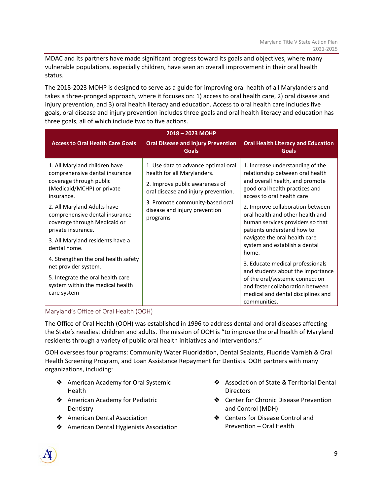MDAC and its partners have made significant progress toward its goals and objectives, where many vulnerable populations, especially children, have seen an overall improvement in their oral health status.

The 2018‐2023 MOHP is designed to serve as a guide for improving oral health of all Marylanders and takes a three‐pronged approach, where it focuses on: 1) access to oral health care, 2) oral disease and injury prevention, and 3) oral health literacy and education. Access to oral health care includes five goals, oral disease and injury prevention includes three goals and oral health literacy and education has three goals, all of which include two to five actions.

| 2018-2023 MOHP                                                                                                                                                                                                                                                                                                                                                                    |                                                                                                                                                                                                                             |                                                                                                                                                                                                                                                                                                                                                                                                                                  |  |
|-----------------------------------------------------------------------------------------------------------------------------------------------------------------------------------------------------------------------------------------------------------------------------------------------------------------------------------------------------------------------------------|-----------------------------------------------------------------------------------------------------------------------------------------------------------------------------------------------------------------------------|----------------------------------------------------------------------------------------------------------------------------------------------------------------------------------------------------------------------------------------------------------------------------------------------------------------------------------------------------------------------------------------------------------------------------------|--|
| <b>Access to Oral Health Care Goals</b>                                                                                                                                                                                                                                                                                                                                           | <b>Oral Disease and Injury Prevention</b><br><b>Goals</b>                                                                                                                                                                   | <b>Oral Health Literacy and Education</b><br><b>Goals</b>                                                                                                                                                                                                                                                                                                                                                                        |  |
| 1. All Maryland children have<br>comprehensive dental insurance<br>coverage through public<br>(Medicaid/MCHP) or private<br>insurance.<br>2. All Maryland Adults have<br>comprehensive dental insurance<br>coverage through Medicaid or<br>private insurance.<br>3. All Maryland residents have a<br>dental home.<br>4. Strengthen the oral health safety<br>net provider system. | 1. Use data to advance optimal oral<br>health for all Marylanders.<br>2. Improve public awareness of<br>oral disease and injury prevention.<br>3. Promote community-based oral<br>disease and injury prevention<br>programs | 1. Increase understanding of the<br>relationship between oral health<br>and overall health, and promote<br>good oral health practices and<br>access to oral health care<br>2. Improve collaboration between<br>oral health and other health and<br>human services providers so that<br>patients understand how to<br>navigate the oral health care<br>system and establish a dental<br>home.<br>3. Educate medical professionals |  |
| 5. Integrate the oral health care<br>system within the medical health<br>care system                                                                                                                                                                                                                                                                                              |                                                                                                                                                                                                                             | and students about the importance<br>of the oral/systemic connection<br>and foster collaboration between<br>medical and dental disciplines and<br>communities.                                                                                                                                                                                                                                                                   |  |

# Maryland's Office of Oral Health (OOH)

The Office of Oral Health (OOH) was established in 1996 to address dental and oral diseases affecting the State's neediest children and adults. The mission of OOH is "to improve the oral health of Maryland residents through a variety of public oral health initiatives and interventions."

OOH oversees four programs: Community Water Fluoridation, Dental Sealants, Fluoride Varnish & Oral Health Screening Program, and Loan Assistance Repayment for Dentists. OOH partners with many organizations, including:

- ❖ American Academy for Oral Systemic Health
- ❖ American Academy for Pediatric **Dentistry**
- ❖ American Dental Association
- ❖ American Dental Hygienists Association
- ❖ Association of State & Territorial Dental **Directors**
- ❖ Center for Chronic Disease Prevention and Control (MDH)
- ❖ Centers for Disease Control and Prevention – Oral Health

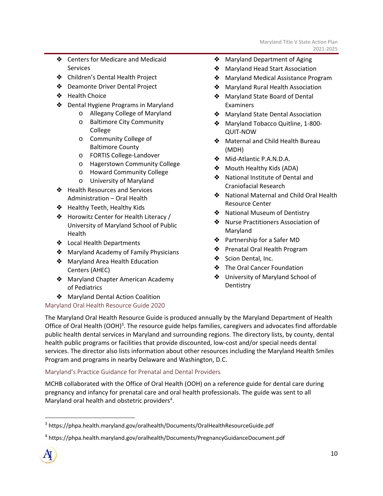- ❖ Centers for Medicare and Medicaid Services
- ❖ Children's Dental Health Project
- ❖ Deamonte Driver Dental Project
- ❖ Health Choice
- ❖ Dental Hygiene Programs in Maryland
	- o Allegany College of Maryland
	- o Baltimore City Community College
	- o Community College of Baltimore County
	- o FORTIS College‐Landover
	- o Hagerstown Community College
	- o Howard Community College
	- o University of Maryland
- ❖ Health Resources and Services Administration – Oral Health
- ❖ Healthy Teeth, Healthy Kids
- ❖ Horowitz Center for Health Literacy / University of Maryland School of Public Health
- ❖ Local Health Departments
- ❖ Maryland Academy of Family Physicians
- ❖ Maryland Area Health Education Centers (AHEC)
- ❖ Maryland Chapter American Academy of Pediatrics
- ❖ Maryland Dental Action Coalition

# Maryland Oral Health Resource Guide 2020

- ❖ Maryland Department of Aging
- ❖ Maryland Head Start Association
- ❖ Maryland Medical Assistance Program
- ❖ Maryland Rural Health Association
- ❖ Maryland State Board of Dental **Examiners**
- ❖ Maryland State Dental Association
- ❖ Maryland Tobacco Quitline, 1‐800‐ QUIT‐NOW
- ❖ Maternal and Child Health Bureau (MDH)
- ❖ Mid‐Atlantic P.A.N.D.A.
- ❖ Mouth Healthy Kids (ADA)
- ❖ National Institute of Dental and Craniofacial Research
- ❖ National Maternal and Child Oral Health Resource Center
- ❖ National Museum of Dentistry
- ❖ Nurse Practitioners Association of Maryland
- ❖ Partnership for a Safer MD
- ❖ Prenatal Oral Health Program
- ❖ Scion Dental, Inc.
- ❖ The Oral Cancer Foundation
- ❖ University of Maryland School of **Dentistry**

The Maryland Oral Health Resource Guide is produced annually by the Maryland Department of Health Office of Oral Health (OOH)<sup>3</sup>. The resource guide helps families, caregivers and advocates find affordable public health dental services in Maryland and surrounding regions. The directory lists, by county, dental health public programs or facilities that provide discounted, low‐cost and/or special needs dental services. The director also lists information about other resources including the Maryland Health Smiles Program and programs in nearby Delaware and Washington, D.C.

# Maryland's Practice Guidance for Prenatal and Dental Providers

MCHB collaborated with the Office of Oral Health (OOH) on a reference guide for dental care during pregnancy and infancy for prenatal care and oral health professionals. The guide was sent to all Maryland oral health and obstetric providers<sup>4</sup>.

<sup>4</sup> https://phpa.health.maryland.gov/oralhealth/Documents/PregnancyGuidanceDocument.pdf



<sup>3</sup> https://phpa.health.maryland.gov/oralhealth/Documents/OralHealthResourceGuide.pdf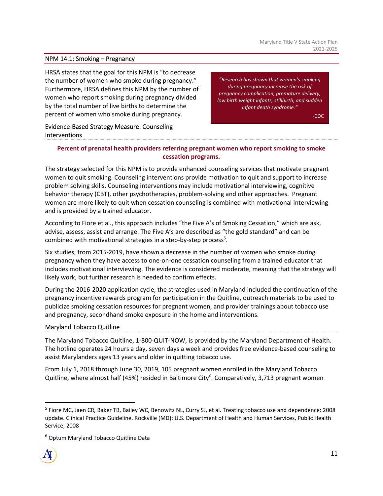#### NPM 14.1: Smoking – Pregnancy

HRSA states that the goal for this NPM is "to decrease the number of women who smoke during pregnancy." Furthermore, HRSA defines this NPM by the number of women who report smoking during pregnancy divided by the total number of live births to determine the percent of women who smoke during pregnancy.

*"Research has shown that women's smoking during pregnancy increase the risk of pregnancy complication, premature delivery, low birth weight infants, stillbirth, and sudden infant death syndrome."*

‐CDC

# Evidence‐Based Strategy Measure: Counseling Interventions

# **Percent of prenatal health providers referring pregnant women who report smoking to smoke cessation programs.**

The strategy selected for this NPM is to provide enhanced counseling services that motivate pregnant women to quit smoking. Counseling interventions provide motivation to quit and support to increase problem solving skills. Counseling interventions may include motivational interviewing, cognitive behavior therapy (CBT), other psychotherapies, problem-solving and other approaches. Pregnant women are more likely to quit when cessation counseling is combined with motivational interviewing and is provided by a trained educator.

According to Fiore et al., this approach includes "the Five A's of Smoking Cessation," which are ask, advise, assess, assist and arrange. The Five A's are described as "the gold standard" and can be combined with motivational strategies in a step-by-step process<sup>5</sup>.

Six studies, from 2015‐2019, have shown a decrease in the number of women who smoke during pregnancy when they have access to one‐on‐one cessation counseling from a trained educator that includes motivational interviewing. The evidence is considered moderate, meaning that the strategy will likely work, but further research is needed to confirm effects.

During the 2016‐2020 application cycle, the strategies used in Maryland included the continuation of the pregnancy incentive rewards program for participation in the Quitline, outreach materials to be used to publicize smoking cessation resources for pregnant women, and provider trainings about tobacco use and pregnancy, secondhand smoke exposure in the home and interventions.

#### Maryland Tobacco Quitline

The Maryland Tobacco Quitline, 1‐800‐QUIT‐NOW, is provided by the Maryland Department of Health. The hotline operates 24 hours a day, seven days a week and provides free evidence‐based counseling to assist Marylanders ages 13 years and older in quitting tobacco use.

From July 1, 2018 through June 30, 2019, 105 pregnant women enrolled in the Maryland Tobacco Quitline, where almost half (45%) resided in Baltimore City<sup>6</sup>. Comparatively, 3,713 pregnant women

<sup>6</sup> Optum Maryland Tobacco Quitline Data



<sup>&</sup>lt;sup>5</sup> Fiore MC, Jaen CR, Baker TB, Bailey WC, Benowitz NL, Curry SJ, et al. Treating tobacco use and dependence: 2008 update. Clinical Practice Guideline. Rockville (MD): U.S. Department of Health and Human Services, Public Health Service; 2008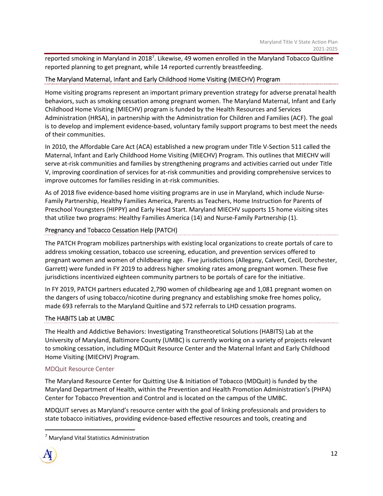reported smoking in Maryland in 2018<sup>7</sup>. Likewise, 49 women enrolled in the Maryland Tobacco Quitline reported planning to get pregnant, while 14 reported currently breastfeeding.

# The Maryland Maternal, Infant and Early Childhood Home Visiting (MIECHV) Program

Home visiting programs represent an important primary prevention strategy for adverse prenatal health behaviors, such as smoking cessation among pregnant women. The Maryland Maternal, Infant and Early Childhood Home Visiting (MIECHV) program is funded by the Health Resources and Services Administration (HRSA), in partnership with the Administration for Children and Families (ACF). The goal is to develop and implement evidence‐based, voluntary family support programs to best meet the needs of their communities.

In 2010, the Affordable Care Act (ACA) established a new program under Title V‐Section 511 called the Maternal, Infant and Early Childhood Home Visiting (MIECHV) Program. This outlines that MIECHV will serve at-risk communities and families by strengthening programs and activities carried out under Title V, improving coordination of services for at‐risk communities and providing comprehensive services to improve outcomes for families residing in at‐risk communities. 

As of 2018 five evidence‐based home visiting programs are in use in Maryland, which include Nurse‐ Family Partnership, Healthy Families America, Parents as Teachers, Home Instruction for Parents of Preschool Youngsters (HIPPY) and Early Head Start. Maryland MIECHV supports 15 home visiting sites that utilize two programs: Healthy Families America (14) and Nurse‐Family Partnership (1).

# Pregnancy and Tobacco Cessation Help (PATCH)

The PATCH Program mobilizes partnerships with existing local organizations to create portals of care to address smoking cessation, tobacco use screening, education, and prevention services offered to pregnant women and women of childbearing age. Five jurisdictions (Allegany, Calvert, Cecil, Dorchester, Garrett) were funded in FY 2019 to address higher smoking rates among pregnant women. These five jurisdictions incentivized eighteen community partners to be portals of care for the initiative.

In FY 2019, PATCH partners educated 2,790 women of childbearing age and 1,081 pregnant women on the dangers of using tobacco/nicotine during pregnancy and establishing smoke free homes policy, made 693 referrals to the Maryland Quitline and 572 referrals to LHD cessation programs.

# The HABITS Lab at UMBC

The Health and Addictive Behaviors: Investigating Transtheoretical Solutions (HABITS) Lab at the University of Maryland, Baltimore County (UMBC) is currently working on a variety of projects relevant to smoking cessation, including MDQuit Resource Center and the Maternal Infant and Early Childhood Home Visiting (MIECHV) Program.

#### MDQuit Resource Center

The Maryland Resource Center for Quitting Use & Initiation of Tobacco (MDQuit) is funded by the Maryland Department of Health, within the Prevention and Health Promotion Administration's (PHPA) Center for Tobacco Prevention and Control and is located on the campus of the UMBC.

MDQUIT serves as Maryland's resource center with the goal of linking professionals and providers to state tobacco initiatives, providing evidence‐based effective resources and tools, creating and

<sup>&</sup>lt;sup>7</sup> Maryland Vital Statistics Administration

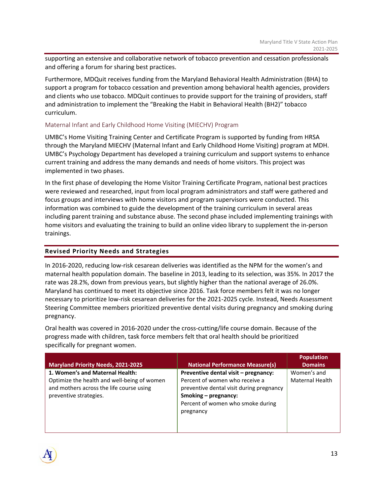supporting an extensive and collaborative network of tobacco prevention and cessation professionals and offering a forum for sharing best practices.

Furthermore, MDQuit receives funding from the Maryland Behavioral Health Administration (BHA) to support a program for tobacco cessation and prevention among behavioral health agencies, providers and clients who use tobacco. MDQuit continues to provide support for the training of providers, staff and administration to implement the "Breaking the Habit in Behavioral Health (BH2)" tobacco curriculum.

#### Maternal Infant and Early Childhood Home Visiting (MIECHV) Program

UMBC's Home Visiting Training Center and Certificate Program is supported by funding from HRSA through the Maryland MIECHV (Maternal Infant and Early Childhood Home Visiting) program at MDH. UMBC's Psychology Department has developed a training curriculum and support systems to enhance current training and address the many demands and needs of home visitors. This project was implemented in two phases.

In the first phase of developing the Home Visitor Training Certificate Program, national best practices were reviewed and researched, input from local program administrators and staff were gathered and focus groups and interviews with home visitors and program supervisors were conducted. This information was combined to guide the development of the training curriculum in several areas including parent training and substance abuse. The second phase included implementing trainings with home visitors and evaluating the training to build an online video library to supplement the in‐person trainings.

#### **Revised Priority Needs and Strategies**

In 2016‐2020, reducing low‐risk cesarean deliveries was identified as the NPM for the women's and maternal health population domain. The baseline in 2013, leading to its selection, was 35%. In 2017 the rate was 28.2%, down from previous years, but slightly higher than the national average of 26.0%. Maryland has continued to meet its objective since 2016. Task force members felt it was no longer necessary to prioritize low‐risk cesarean deliveries for the 2021‐2025 cycle. Instead, Needs Assessment Steering Committee members prioritized preventive dental visits during pregnancy and smoking during pregnancy.

Oral health was covered in 2016‐2020 under the cross‐cutting/life course domain. Because of the progress made with children, task force members felt that oral health should be prioritized specifically for pregnant women.

| <b>Maryland Priority Needs, 2021-2025</b>                                                                                                            | <b>National Performance Measure(s)</b>                                                                                                                                                       | <b>Population</b><br><b>Domains</b> |
|------------------------------------------------------------------------------------------------------------------------------------------------------|----------------------------------------------------------------------------------------------------------------------------------------------------------------------------------------------|-------------------------------------|
| 1. Women's and Maternal Health:<br>Optimize the health and well-being of women<br>and mothers across the life course using<br>preventive strategies. | Preventive dental visit - pregnancy:<br>Percent of women who receive a<br>preventive dental visit during pregnancy<br>Smoking – pregnancy:<br>Percent of women who smoke during<br>pregnancy | Women's and<br>Maternal Health      |

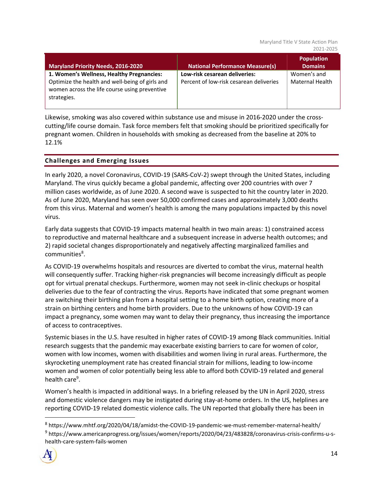| Maryland Priority Needs, 2016-2020                                                                                                                           | <b>National Performance Measure(s)</b>                                   | <b>Population</b><br><b>Domains</b>   |
|--------------------------------------------------------------------------------------------------------------------------------------------------------------|--------------------------------------------------------------------------|---------------------------------------|
| 1. Women's Wellness, Healthy Pregnancies:<br>Optimize the health and well-being of girls and<br>women across the life course using preventive<br>strategies. | Low-risk cesarean deliveries:<br>Percent of low-risk cesarean deliveries | Women's and<br><b>Maternal Health</b> |

Likewise, smoking was also covered within substance use and misuse in 2016‐2020 under the cross‐ cutting/life course domain. Task force members felt that smoking should be prioritized specifically for pregnant women. Children in households with smoking as decreased from the baseline at 20% to 12.1%

# **Challenges and Emerging Issues**

In early 2020, a novel Coronavirus, COVID‐19 (SARS‐CoV‐2) swept through the United States, including Maryland. The virus quickly became a global pandemic, affecting over 200 countries with over 7 million cases worldwide, as of June 2020. A second wave is suspected to hit the country later in 2020. As of June 2020, Maryland has seen over 50,000 confirmed cases and approximately 3,000 deaths from this virus. Maternal and women's health is among the many populations impacted by this novel virus.

Early data suggests that COVID‐19 impacts maternal health in two main areas: 1) constrained access to reproductive and maternal healthcare and a subsequent increase in adverse health outcomes; and 2) rapid societal changes disproportionately and negatively affecting marginalized families and communities<sup>8</sup>.

As COVID‐19 overwhelms hospitals and resources are diverted to combat the virus, maternal health will consequently suffer. Tracking higher‐risk pregnancies will become increasingly difficult as people opt for virtual prenatal checkups. Furthermore, women may not seek in‐clinic checkups or hospital deliveries due to the fear of contracting the virus. Reports have indicated that some pregnant women are switching their birthing plan from a hospital setting to a home birth option, creating more of a strain on birthing centers and home birth providers. Due to the unknowns of how COVID‐19 can impact a pregnancy, some women may want to delay their pregnancy, thus increasing the importance of access to contraceptives.

Systemic biases in the U.S. have resulted in higher rates of COVID‐19 among Black communities. Initial research suggests that the pandemic may exacerbate existing barriers to care for women of color, women with low incomes, women with disabilities and women living in rural areas. Furthermore, the skyrocketing unemployment rate has created financial strain for millions, leading to low‐income women and women of color potentially being less able to afford both COVID‐19 related and general health care<sup>9</sup>.

Women's health is impacted in additional ways. In a briefing released by the UN in April 2020, stress and domestic violence dangers may be instigated during stay-at-home orders. In the US, helplines are reporting COVID‐19 related domestic violence calls. The UN reported that globally there has been in

<sup>&</sup>lt;sup>8</sup> https://www.mhtf.org/2020/04/18/amidst-the-COVID-19-pandemic-we-must-remember-maternal-health/ <sup>9</sup> https://www.americanprogress.org/issues/women/reports/2020/04/23/483828/coronavirus-crisis-confirms-u-shealth‐care‐system‐fails‐women

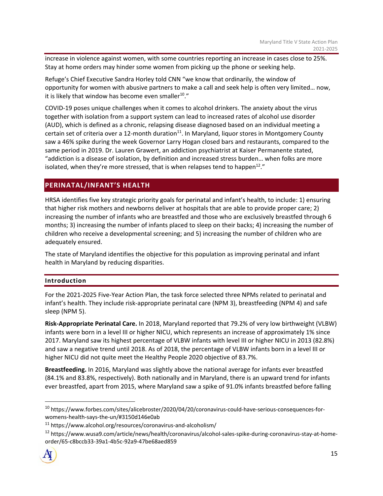increase in violence against women, with some countries reporting an increase in cases close to 25%. Stay at home orders may hinder some women from picking up the phone or seeking help.

Refuge's Chief Executive Sandra Horley told CNN "we know that ordinarily, the window of opportunity for women with abusive partners to make a call and seek help is often very limited… now, it is likely that window has become even smaller<sup>10</sup>."

COVID‐19 poses unique challenges when it comes to alcohol drinkers. The anxiety about the virus together with isolation from a support system can lead to increased rates of alcohol use disorder (AUD), which is defined as a chronic, relapsing disease diagnosed based on an individual meeting a certain set of criteria over a 12-month duration $^{11}$ . In Maryland, liquor stores in Montgomery County saw a 46% spike during the week Governor Larry Hogan closed bars and restaurants, compared to the same period in 2019. Dr. Lauren Grawert, an addiction psychiatrist at Kaiser Permanente stated, "addiction is a disease of isolation, by definition and increased stress burden… when folks are more isolated, when they're more stressed, that is when relapses tend to happen<sup>12</sup>."

# **PERINATAL/INFANT'S HEALTH**

HRSA identifies five key strategic priority goals for perinatal and infant's health, to include: 1) ensuring that higher risk mothers and newborns deliver at hospitals that are able to provide proper care; 2) increasing the number of infants who are breastfed and those who are exclusively breastfed through 6 months; 3) increasing the number of infants placed to sleep on their backs; 4) increasing the number of children who receive a developmental screening; and 5) increasing the number of children who are adequately ensured.

The state of Maryland identifies the objective for this population as improving perinatal and infant health in Maryland by reducing disparities.

# **Introduction**

For the 2021‐2025 Five‐Year Action Plan, the task force selected three NPMs related to perinatal and infant's health. They include risk-appropriate perinatal care (NPM 3), breastfeeding (NPM 4) and safe sleep (NPM 5).

**Risk‐Appropriate Perinatal Care.** In 2018, Maryland reported that 79.2% of very low birthweight (VLBW) infants were born in a level III or higher NICU, which represents an increase of approximately 1% since 2017. Maryland saw its highest percentage of VLBW infants with level III or higher NICU in 2013 (82.8%) and saw a negative trend until 2018. As of 2018, the percentage of VLBW infants born in a level III or higher NICU did not quite meet the Healthy People 2020 objective of 83.7%.

**Breastfeeding.** In 2016, Maryland was slightly above the national average for infants ever breastfed (84.1% and 83.8%, respectively). Both nationally and in Maryland, there is an upward trend for infants ever breastfed, apart from 2015, where Maryland saw a spike of 91.0% infants breastfed before falling

<sup>&</sup>lt;sup>12</sup> https://www.wusa9.com/article/news/health/coronavirus/alcohol-sales-spike-during-coronavirus-stay-at-homeorder/65‐c8bccb33‐39a1‐4b5c‐92a9‐47be68aed859



<sup>&</sup>lt;sup>10</sup> https://www.forbes.com/sites/alicebroster/2020/04/20/coronavirus-could-have-serious-consequences-forwomens‐health‐says‐the‐un/#3150d146e0ab

<sup>11</sup> https://www.alcohol.org/resources/coronavirus‐and‐alcoholism/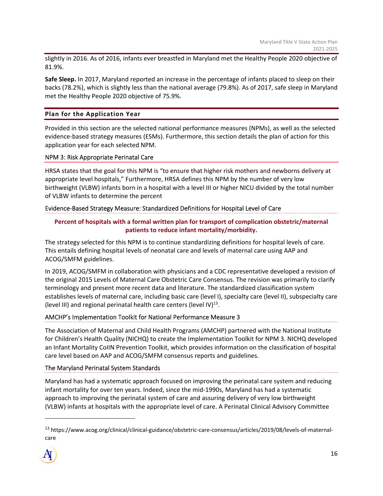slightly in 2016. As of 2016, infants ever breastfed in Maryland met the Healthy People 2020 objective of 81.9%.

**Safe Sleep.** In 2017, Maryland reported an increase in the percentage of infants placed to sleep on their backs (78.2%), which is slightly less than the national average (79.8%). As of 2017, safe sleep in Maryland met the Healthy People 2020 objective of 75.9%.

# **Plan for the Application Year**

Provided in this section are the selected national performance measures (NPMs), as well as the selected evidence‐based strategy measures (ESMs). Furthermore, this section details the plan of action for this application year for each selected NPM.

#### NPM 3: Risk Appropriate Perinatal Care

HRSA states that the goal for this NPM is "to ensure that higher risk mothers and newborns delivery at appropriate level hospitals," Furthermore, HRSA defines this NPM by the number of very low birthweight (VLBW) infants born in a hospital with a level III or higher NICU divided by the total number of VLBW infants to determine the percent

# Evidence‐Based Strategy Measure: Standardized Definitions for Hospital Level of Care

# **Percent of hospitals with a formal written plan for transport of complication obstetric/maternal patients to reduce infant mortality/morbidity.**

The strategy selected for this NPM is to continue standardizing definitions for hospital levels of care. This entails defining hospital levels of neonatal care and levels of maternal care using AAP and ACOG/SMFM guidelines.

In 2019, ACOG/SMFM in collaboration with physicians and a CDC representative developed a revision of the original 2015 Levels of Maternal Care Obstetric Care Consensus. The revision was primarily to clarify terminology and present more recent data and literature. The standardized classification system establishes levels of maternal care, including basic care (level I), specialty care (level II), subspecialty care (level III) and regional perinatal health care centers (level IV) $^{13}$ .

#### AMCHP's Implementation Toolkit for National Performance Measure 3

The Association of Maternal and Child Health Programs (AMCHP) partnered with the National Institute for Children's Health Quality (NICHQ) to create the Implementation Toolkit for NPM 3. NICHQ developed an Infant Mortality CoIIN Prevention Toolkit, which provides information on the classification of hospital care level based on AAP and ACOG/SMFM consensus reports and guidelines.

#### The Maryland Perinatal System Standards

Maryland has had a systematic approach focused on improving the perinatal care system and reducing infant mortality for over ten years. Indeed, since the mid‐1990s, Maryland has had a systematic approach to improving the perinatal system of care and assuring delivery of very low birthweight (VLBW) infants at hospitals with the appropriate level of care. A Perinatal Clinical Advisory Committee

<sup>&</sup>lt;sup>13</sup> https://www.acog.org/clinical/clinical-guidance/obstetric-care-consensus/articles/2019/08/levels-of-maternalcare

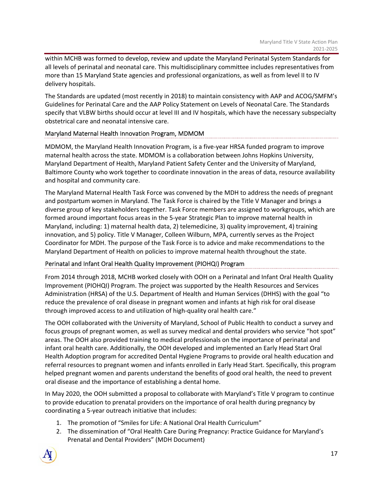within MCHB was formed to develop, review and update the Maryland Perinatal System Standards for all levels of perinatal and neonatal care. This multidisciplinary committee includes representatives from more than 15 Maryland State agencies and professional organizations, as well as from level II to IV delivery hospitals.

The Standards are updated (most recently in 2018) to maintain consistency with AAP and ACOG/SMFM's Guidelines for Perinatal Care and the AAP Policy Statement on Levels of Neonatal Care. The Standards specify that VLBW births should occur at level III and IV hospitals, which have the necessary subspecialty obstetrical care and neonatal intensive care.

# Maryland Maternal Health Innovation Program, MDMOM

MDMOM, the Maryland Health Innovation Program, is a five‐year HRSA funded program to improve maternal health across the state. MDMOM is a collaboration between Johns Hopkins University, Maryland Department of Health, Maryland Patient Safety Center and the University of Maryland, Baltimore County who work together to coordinate innovation in the areas of data, resource availability and hospital and community care.

The Maryland Maternal Health Task Force was convened by the MDH to address the needs of pregnant and postpartum women in Maryland. The Task Force is chaired by the Title V Manager and brings a diverse group of key stakeholders together. Task Force members are assigned to workgroups, which are formed around important focus areas in the 5‐year Strategic Plan to improve maternal health in Maryland, including: 1) maternal health data, 2) telemedicine, 3) quality improvement, 4) training innovation, and 5) policy. Title V Manager, Colleen Wilburn, MPA, currently serves as the Project Coordinator for MDH. The purpose of the Task Force is to advice and make recommendations to the Maryland Department of Health on policies to improve maternal health throughout the state.

# Perinatal and Infant Oral Health Quality Improvement (PIOHQI) Program

From 2014 through 2018, MCHB worked closely with OOH on a Perinatal and Infant Oral Health Quality Improvement (PIOHQI) Program. The project was supported by the Health Resources and Services Administration (HRSA) of the U.S. Department of Health and Human Services (DHHS) with the goal "to reduce the prevalence of oral disease in pregnant women and infants at high risk for oral disease through improved access to and utilization of high‐quality oral health care."

The OOH collaborated with the University of Maryland, School of Public Health to conduct a survey and focus groups of pregnant women, as well as survey medical and dental providers who service "hot spot" areas. The OOH also provided training to medical professionals on the importance of perinatal and infant oral health care. Additionally, the OOH developed and implemented an Early Head Start Oral Health Adoption program for accredited Dental Hygiene Programs to provide oral health education and referral resources to pregnant women and infants enrolled in Early Head Start. Specifically, this program helped pregnant women and parents understand the benefits of good oral health, the need to prevent oral disease and the importance of establishing a dental home.

In May 2020, the OOH submitted a proposal to collaborate with Maryland's Title V program to continue to provide education to prenatal providers on the importance of oral health during pregnancy by coordinating a 5‐year outreach initiative that includes:

- 1. The promotion of "Smiles for Life: A National Oral Health Curriculum"
- 2. The dissemination of "Oral Health Care During Pregnancy: Practice Guidance for Maryland's Prenatal and Dental Providers" (MDH Document)

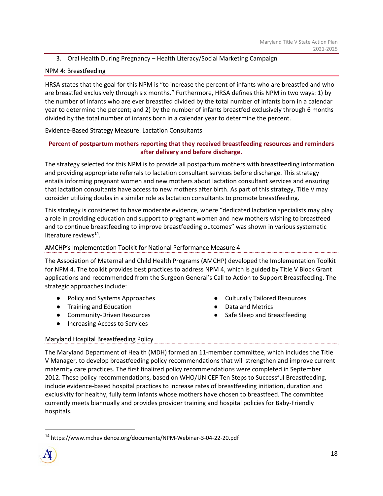# 3. Oral Health During Pregnancy – Health Literacy/Social Marketing Campaign

# NPM 4: Breastfeeding

HRSA states that the goal for this NPM is "to increase the percent of infants who are breastfed and who are breastfed exclusively through six months." Furthermore, HRSA defines this NPM in two ways: 1) by the number of infants who are ever breastfed divided by the total number of infants born in a calendar year to determine the percent; and 2) by the number of infants breastfed exclusively through 6 months divided by the total number of infants born in a calendar year to determine the percent.

# Evidence‐Based Strategy Measure: Lactation Consultants

# **Percent of postpartum mothers reporting that they received breastfeeding resources and reminders after delivery and before discharge.**

The strategy selected for this NPM is to provide all postpartum mothers with breastfeeding information and providing appropriate referrals to lactation consultant services before discharge. This strategy entails informing pregnant women and new mothers about lactation consultant services and ensuring that lactation consultants have access to new mothers after birth. As part of this strategy, Title V may consider utilizing doulas in a similar role as lactation consultants to promote breastfeeding.

This strategy is considered to have moderate evidence, where "dedicated lactation specialists may play a role in providing education and support to pregnant women and new mothers wishing to breastfeed and to continue breastfeeding to improve breastfeeding outcomes" was shown in various systematic literature reviews $^{14}$ .

# AMCHP's Implementation Toolkit for National Performance Measure 4

The Association of Maternal and Child Health Programs (AMCHP) developed the Implementation Toolkit for NPM 4. The toolkit provides best practices to address NPM 4, which is guided by Title V Block Grant applications and recommended from the Surgeon General's Call to Action to Support Breastfeeding. The strategic approaches include:

- Policy and Systems Approaches
- Training and Education
- Community-Driven Resources
- Increasing Access to Services
- Culturally Tailored Resources
- Data and Metrics
- Safe Sleep and Breastfeeding

# Maryland Hospital Breastfeeding Policy

The Maryland Department of Health (MDH) formed an 11‐member committee, which includes the Title V Manager, to develop breastfeeding policy recommendations that will strengthen and improve current maternity care practices. The first finalized policy recommendations were completed in September 2012. These policy recommendations, based on WHO/UNICEF Ten Steps to Successful Breastfeeding, include evidence‐based hospital practices to increase rates of breastfeeding initiation, duration and exclusivity for healthy, fully term infants whose mothers have chosen to breastfeed. The committee currently meets biannually and provides provider training and hospital policies for Baby‐Friendly hospitals.

<sup>14</sup> https://www.mchevidence.org/documents/NPM‐Webinar‐3‐04‐22‐20.pdf

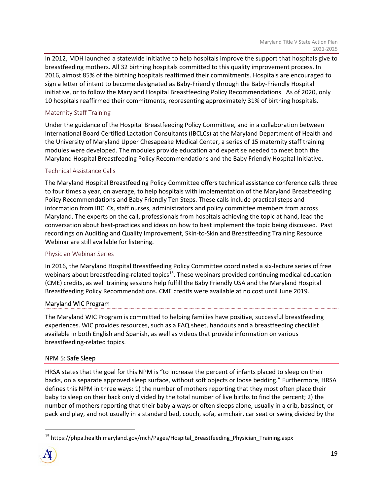In 2012, MDH launched a statewide initiative to help hospitals improve the support that hospitals give to breastfeeding mothers. All 32 birthing hospitals committed to this quality improvement process. In 2016, almost 85% of the birthing hospitals reaffirmed their commitments. Hospitals are encouraged to sign a letter of intent to become designated as Baby‐Friendly through the Baby‐Friendly Hospital initiative, or to follow the Maryland Hospital Breastfeeding Policy Recommendations. As of 2020, only 10 hospitals reaffirmed their commitments, representing approximately 31% of birthing hospitals.

# Maternity Staff Training

Under the guidance of the Hospital Breastfeeding Policy Committee, and in a collaboration between International Board Certified Lactation Consultants (IBCLCs) at the Maryland Department of Health and the University of Maryland Upper Chesapeake Medical Center, a series of 15 maternity staff training modules were developed. The modules provide education and expertise needed to meet both the Maryland Hospital Breastfeeding Policy Recommendations and the Baby Friendly Hospital Initiative.

#### Technical Assistance Calls

The Maryland Hospital Breastfeeding Policy Committee offers technical assistance conference calls three to four times a year, on average, to help hospitals with implementation of the Maryland Breastfeeding Policy Recommendations and Baby Friendly Ten Steps. These calls include practical steps and information from IBCLCs, staff nurses, administrators and policy committee members from across Maryland. The experts on the call, professionals from hospitals achieving the topic at hand, lead the conversation about best‐practices and ideas on how to best implement the topic being discussed. Past recordings on Auditing and Quality Improvement, Skin‐to‐Skin and Breastfeeding Training Resource Webinar are still available for listening.

#### Physician Webinar Series

In 2016, the Maryland Hospital Breastfeeding Policy Committee coordinated a six‐lecture series of free webinars about breastfeeding-related topics<sup>15</sup>. These webinars provided continuing medical education (CME) credits, as well training sessions help fulfill the Baby Friendly USA and the Maryland Hospital Breastfeeding Policy Recommendations. CME credits were available at no cost until June 2019.

#### Maryland WIC Program

The Maryland WIC Program is committed to helping families have positive, successful breastfeeding experiences. WIC provides resources, such as a FAQ sheet, handouts and a breastfeeding checklist available in both English and Spanish, as well as videos that provide information on various breastfeeding‐related topics.

#### NPM 5: Safe Sleep

HRSA states that the goal for this NPM is "to increase the percent of infants placed to sleep on their backs, on a separate approved sleep surface, without soft objects or loose bedding." Furthermore, HRSA defines this NPM in three ways: 1) the number of mothers reporting that they most often place their baby to sleep on their back only divided by the total number of live births to find the percent; 2) the number of mothers reporting that their baby always or often sleeps alone, usually in a crib, bassinet, or pack and play, and not usually in a standard bed, couch, sofa, armchair, car seat or swing divided by the

<sup>&</sup>lt;sup>15</sup> https://phpa.health.maryland.gov/mch/Pages/Hospital Breastfeeding Physician Training.aspx

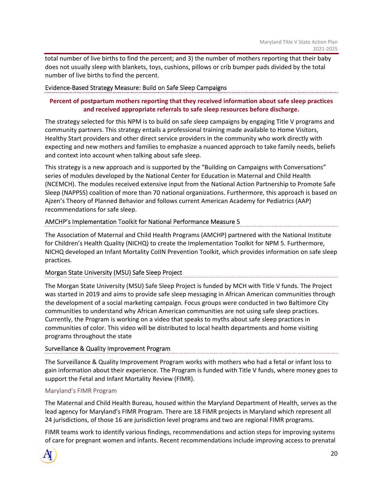total number of live births to find the percent; and 3) the number of mothers reporting that their baby does not usually sleep with blankets, toys, cushions, pillows or crib bumper pads divided by the total number of live births to find the percent.

#### Evidence‐Based Strategy Measure: Build on Safe Sleep Campaigns

# **Percent of postpartum mothers reporting that they received information about safe sleep practices and received appropriate referrals to safe sleep resources before discharge.**

The strategy selected for this NPM is to build on safe sleep campaigns by engaging Title V programs and community partners. This strategy entails a professional training made available to Home Visitors, Healthy Start providers and other direct service providers in the community who work directly with expecting and new mothers and families to emphasize a nuanced approach to take family needs, beliefs and context into account when talking about safe sleep.

This strategy is a new approach and is supported by the "Building on Campaigns with Conversations" series of modules developed by the National Center for Education in Maternal and Child Health (NCEMCH). The modules received extensive input from the National Action Partnership to Promote Safe Sleep (NAPPSS) coalition of more than 70 national organizations. Furthermore, this approach is based on Ajzen's Theory of Planned Behavior and follows current American Academy for Pediatrics (AAP) recommendations for safe sleep.

# AMCHP's Implementation Toolkit for National Performance Measure 5

The Association of Maternal and Child Health Programs (AMCHP) partnered with the National Institute for Children's Health Quality (NICHQ) to create the Implementation Toolkit for NPM 5. Furthermore, NICHQ developed an Infant Mortality CoIIN Prevention Toolkit, which provides information on safe sleep practices.

#### Morgan State University (MSU) Safe Sleep Project

The Morgan State University (MSU) Safe Sleep Project is funded by MCH with Title V funds. The Project was started in 2019 and aims to provide safe sleep messaging in African American communities through the development of a social marketing campaign. Focus groups were conducted in two Baltimore City communities to understand why African American communities are not using safe sleep practices. Currently, the Program is working on a video that speaks to myths about safe sleep practices in communities of color. This video will be distributed to local health departments and home visiting programs throughout the state

# Surveillance & Quality Improvement Program

The Surveillance & Quality Improvement Program works with mothers who had a fetal or infant loss to gain information about their experience. The Program is funded with Title V funds, where money goes to support the Fetal and Infant Mortality Review (FIMR).

# Maryland's FIMR Program

The Maternal and Child Health Bureau, housed within the Maryland Department of Health, serves as the lead agency for Maryland's FIMR Program. There are 18 FIMR projects in Maryland which represent all 24 jurisdictions, of those 16 are jurisdiction level programs and two are regional FIMR programs.

FIMR teams work to identify various findings, recommendations and action steps for improving systems of care for pregnant women and infants. Recent recommendations include improving access to prenatal

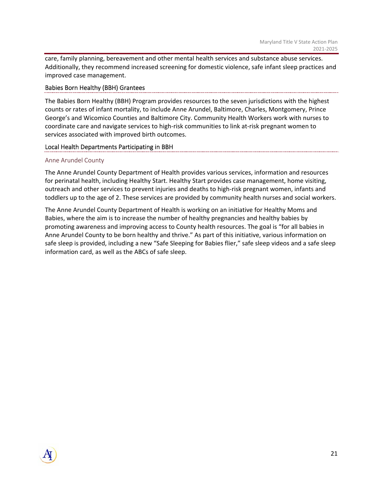care, family planning, bereavement and other mental health services and substance abuse services. Additionally, they recommend increased screening for domestic violence, safe infant sleep practices and improved case management.

#### Babies Born Healthy (BBH) Grantees

The Babies Born Healthy (BBH) Program provides resources to the seven jurisdictions with the highest counts or rates of infant mortality, to include Anne Arundel, Baltimore, Charles, Montgomery, Prince George's and Wicomico Counties and Baltimore City. Community Health Workers work with nurses to coordinate care and navigate services to high‐risk communities to link at‐risk pregnant women to services associated with improved birth outcomes.

# Local Health Departments Participating in BBH

# Anne Arundel County

The Anne Arundel County Department of Health provides various services, information and resources for perinatal health, including Healthy Start. Healthy Start provides case management, home visiting, outreach and other services to prevent injuries and deaths to high‐risk pregnant women, infants and toddlers up to the age of 2. These services are provided by community health nurses and social workers.

The Anne Arundel County Department of Health is working on an initiative for Healthy Moms and Babies, where the aim is to increase the number of healthy pregnancies and healthy babies by promoting awareness and improving access to County health resources. The goal is "for all babies in Anne Arundel County to be born healthy and thrive." As part of this initiative, various information on safe sleep is provided, including a new "Safe Sleeping for Babies flier," safe sleep videos and a safe sleep information card, as well as the ABCs of safe sleep.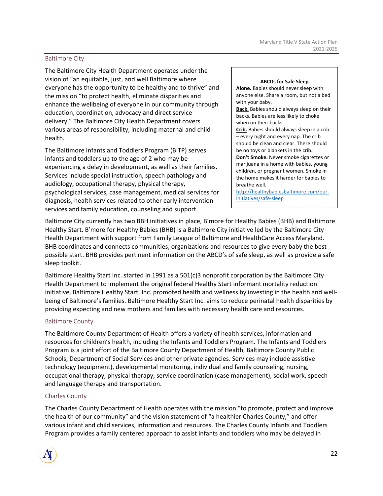#### Baltimore City

The Baltimore City Health Department operates under the vision of "an equitable, just, and well Baltimore where everyone has the opportunity to be healthy and to thrive" and the mission "to protect health, eliminate disparities and enhance the wellbeing of everyone in our community through education, coordination, advocacy and direct service delivery." The Baltimore City Health Department covers various areas of responsibility, including maternal and child health.

The Baltimore Infants and Toddlers Program (BITP) serves infants and toddlers up to the age of 2 who may be experiencing a delay in development, as well as their families. Services include special instruction, speech pathology and audiology, occupational therapy, physical therapy, psychological services, case management, medical services for diagnosis, health services related to other early intervention services and family education, counseling and support.

#### **ABCDs for Sale Sleep**

**Alone.** Babies should never sleep with anyone else. Share a room, but not a bed with your baby. **Back.** Babies should always sleep on their backs. Babies are less likely to choke when on their backs. **Crib.** Babies should always sleep in a crib – every night and every nap. The crib should be clean and clear. There should be no toys or blankets in the crib. **Don't Smoke.** Never smoke cigarettes or marijuana in a home with babies, young children, or pregnant women. Smoke in the home makes it harder for babies to breathe well.

http://healthybabiesbaltimore.com/our‐ initiatives/safe‐sleep

Baltimore City currently has two BBH initiatives in place, B'more for Healthy Babies (BHB) and Baltimore Healthy Start. B'more for Healthy Babies (BHB) is a Baltimore City initiative led by the Baltimore City Health Department with support from Family League of Baltimore and HealthCare Access Maryland. BHB coordinates and connects communities, organizations and resources to give every baby the best possible start. BHB provides pertinent information on the ABCD's of safe sleep, as well as provide a safe sleep toolkit.

Baltimore Healthy Start Inc. started in 1991 as a 501(c)3 nonprofit corporation by the Baltimore City Health Department to implement the original federal Healthy Start informant mortality reduction initiative, Baltimore Healthy Start, Inc. promoted health and wellness by investing in the health and wellbeing of Baltimore's families. Baltimore Healthy Start Inc. aims to reduce perinatal health disparities by providing expecting and new mothers and families with necessary health care and resources.

#### Baltimore County

The Baltimore County Department of Health offers a variety of health services, information and resources for children's health, including the Infants and Toddlers Program. The Infants and Toddlers Program is a joint effort of the Baltimore County Department of Health, Baltimore County Public Schools, Department of Social Services and other private agencies. Services may include assistive technology (equipment), developmental monitoring, individual and family counseling, nursing, occupational therapy, physical therapy, service coordination (case management), social work, speech and language therapy and transportation.

#### Charles County

The Charles County Department of Health operates with the mission "to promote, protect and improve the health of our community" and the vision statement of "a healthier Charles County," and offer various infant and child services, information and resources. The Charles County Infants and Toddlers Program provides a family centered approach to assist infants and toddlers who may be delayed in

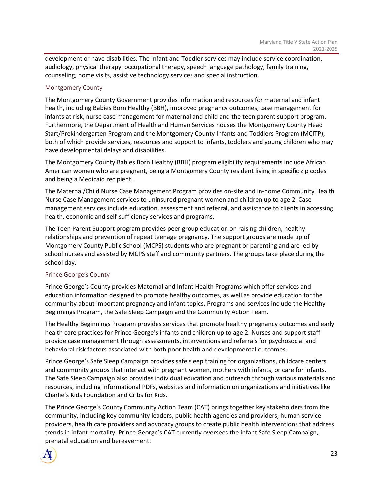development or have disabilities. The Infant and Toddler services may include service coordination, audiology, physical therapy, occupational therapy, speech language pathology, family training, counseling, home visits, assistive technology services and special instruction.

# Montgomery County

The Montgomery County Government provides information and resources for maternal and infant health, including Babies Born Healthy (BBH), improved pregnancy outcomes, case management for infants at risk, nurse case management for maternal and child and the teen parent support program. Furthermore, the Department of Health and Human Services houses the Montgomery County Head Start/Prekindergarten Program and the Montgomery County Infants and Toddlers Program (MCITP), both of which provide services, resources and support to infants, toddlers and young children who may have developmental delays and disabilities.

The Montgomery County Babies Born Healthy (BBH) program eligibility requirements include African American women who are pregnant, being a Montgomery County resident living in specific zip codes and being a Medicaid recipient.

The Maternal/Child Nurse Case Management Program provides on‐site and in‐home Community Health Nurse Case Management services to uninsured pregnant women and children up to age 2. Case management services include education, assessment and referral, and assistance to clients in accessing health, economic and self-sufficiency services and programs.

The Teen Parent Support program provides peer group education on raising children, healthy relationships and prevention of repeat teenage pregnancy. The support groups are made up of Montgomery County Public School (MCPS) students who are pregnant or parenting and are led by school nurses and assisted by MCPS staff and community partners. The groups take place during the school day.

#### Prince George's County

Prince George's County provides Maternal and Infant Health Programs which offer services and education information designed to promote healthy outcomes, as well as provide education for the community about important pregnancy and infant topics. Programs and services include the Healthy Beginnings Program, the Safe Sleep Campaign and the Community Action Team.

The Healthy Beginnings Program provides services that promote healthy pregnancy outcomes and early health care practices for Prince George's infants and children up to age 2. Nurses and support staff provide case management through assessments, interventions and referrals for psychosocial and behavioral risk factors associated with both poor health and developmental outcomes.

Prince George's Safe Sleep Campaign provides safe sleep training for organizations, childcare centers and community groups that interact with pregnant women, mothers with infants, or care for infants. The Safe Sleep Campaign also provides individual education and outreach through various materials and resources, including informational PDFs, websites and information on organizations and initiatives like Charlie's Kids Foundation and Cribs for Kids.

The Prince George's County Community Action Team (CAT) brings together key stakeholders from the community, including key community leaders, public health agencies and providers, human service providers, health care providers and advocacy groups to create public health interventions that address trends in infant mortality. Prince George's CAT currently oversees the infant Safe Sleep Campaign, prenatal education and bereavement.

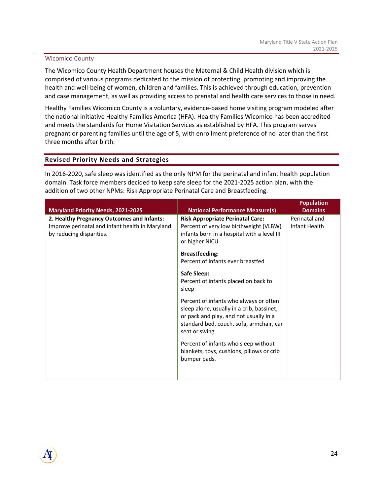#### Wicomico County

The Wicomico County Health Department houses the Maternal & Child Health division which is comprised of various programs dedicated to the mission of protecting, promoting and improving the health and well‐being of women, children and families. This is achieved through education, prevention and case management, as well as providing access to prenatal and health care services to those in need.

Healthy Families Wicomico County is a voluntary, evidence‐based home visiting program modeled after the national initiative Healthy Families America (HFA). Healthy Families Wicomico has been accredited and meets the standards for Home Visitation Services as established by HFA. This program serves pregnant or parenting families until the age of 5, with enrollment preference of no later than the first three months after birth.

#### **Revised Priority Needs and Strategies**

In 2016‐2020, safe sleep was identified as the only NPM for the perinatal and infant health population domain. Task force members decided to keep safe sleep for the 2021‐2025 action plan, with the addition of two other NPMs: Risk Appropriate Perinatal Care and Breastfeeding.

|                                                                                                                           |                                                                                                                                                                                            | <b>Population</b>              |
|---------------------------------------------------------------------------------------------------------------------------|--------------------------------------------------------------------------------------------------------------------------------------------------------------------------------------------|--------------------------------|
| <b>Maryland Priority Needs, 2021-2025</b>                                                                                 | <b>National Performance Measure(s)</b>                                                                                                                                                     | <b>Domains</b>                 |
| 2. Healthy Pregnancy Outcomes and Infants:<br>Improve perinatal and infant health in Maryland<br>by reducing disparities. | <b>Risk Appropriate Perinatal Care:</b><br>Percent of very low birthweight (VLBW)<br>infants born in a hospital with a level III<br>or higher NICU                                         | Perinatal and<br>Infant Health |
|                                                                                                                           | <b>Breastfeeding:</b><br>Percent of infants ever breastfed                                                                                                                                 |                                |
|                                                                                                                           | Safe Sleep:<br>Percent of infants placed on back to<br>sleep                                                                                                                               |                                |
|                                                                                                                           | Percent of infants who always or often<br>sleep alone, usually in a crib, bassinet,<br>or pack and play, and not usually in a<br>standard bed, couch, sofa, armchair, car<br>seat or swing |                                |
|                                                                                                                           | Percent of infants who sleep without<br>blankets, toys, cushions, pillows or crib<br>bumper pads.                                                                                          |                                |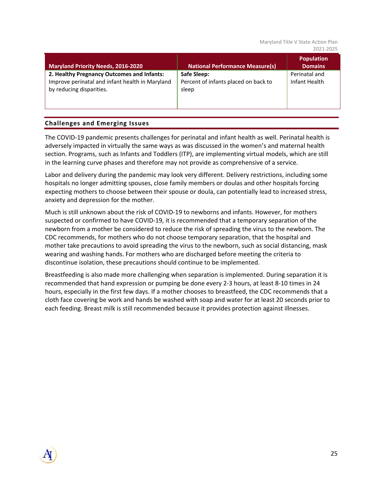#### Maryland Title V State Action Plan 2021‐2025

| <b>Maryland Priority Needs, 2016-2020</b>                                                                                 | <b>National Performance Measure(s)</b>                       | <b>Population</b><br><b>Domains</b> |
|---------------------------------------------------------------------------------------------------------------------------|--------------------------------------------------------------|-------------------------------------|
| 2. Healthy Pregnancy Outcomes and Infants:<br>Improve perinatal and infant health in Maryland<br>by reducing disparities. | Safe Sleep:<br>Percent of infants placed on back to<br>sleep | Perinatal and<br>Infant Health      |

# **Challenges and Emerging Issues**

The COVID‐19 pandemic presents challenges for perinatal and infant health as well. Perinatal health is adversely impacted in virtually the same ways as was discussed in the women's and maternal health section. Programs, such as Infants and Toddlers (ITP), are implementing virtual models, which are still in the learning curve phases and therefore may not provide as comprehensive of a service.

Labor and delivery during the pandemic may look very different. Delivery restrictions, including some hospitals no longer admitting spouses, close family members or doulas and other hospitals forcing expecting mothers to choose between their spouse or doula, can potentially lead to increased stress, anxiety and depression for the mother.

Much is still unknown about the risk of COVID‐19 to newborns and infants. However, for mothers suspected or confirmed to have COVID‐19, it is recommended that a temporary separation of the newborn from a mother be considered to reduce the risk of spreading the virus to the newborn. The CDC recommends, for mothers who do not choose temporary separation, that the hospital and mother take precautions to avoid spreading the virus to the newborn, such as social distancing, mask wearing and washing hands. For mothers who are discharged before meeting the criteria to discontinue isolation, these precautions should continue to be implemented.

Breastfeeding is also made more challenging when separation is implemented. During separation it is recommended that hand expression or pumping be done every 2‐3 hours, at least 8‐10 times in 24 hours, especially in the first few days. If a mother chooses to breastfeed, the CDC recommends that a cloth face covering be work and hands be washed with soap and water for at least 20 seconds prior to each feeding. Breast milk is still recommended because it provides protection against illnesses.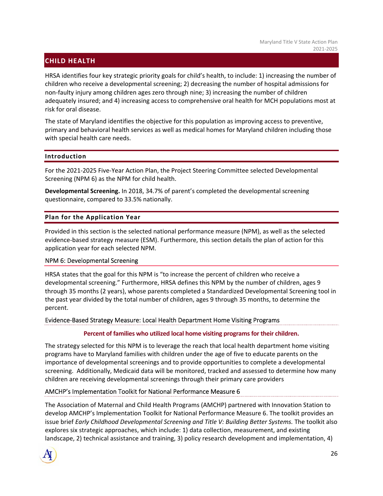# **CHILD HEALTH**

HRSA identifies four key strategic priority goals for child's health, to include: 1) increasing the number of children who receive a developmental screening; 2) decreasing the number of hospital admissions for non‐faulty injury among children ages zero through nine; 3) increasing the number of children adequately insured; and 4) increasing access to comprehensive oral health for MCH populations most at risk for oral disease.

The state of Maryland identifies the objective for this population as improving access to preventive, primary and behavioral health services as well as medical homes for Maryland children including those with special health care needs.

#### **Introduction**

For the 2021‐2025 Five‐Year Action Plan, the Project Steering Committee selected Developmental Screening (NPM 6) as the NPM for child health.

**Developmental Screening.** In 2018, 34.7% of parent's completed the developmental screening questionnaire, compared to 33.5% nationally.

# **Plan for the Application Year**

Provided in this section is the selected national performance measure (NPM), as well as the selected evidence‐based strategy measure (ESM). Furthermore, this section details the plan of action for this application year for each selected NPM.

#### NPM 6: Developmental Screening

HRSA states that the goal for this NPM is "to increase the percent of children who receive a developmental screening." Furthermore, HRSA defines this NPM by the number of children, ages 9 through 35 months (2 years), whose parents completed a Standardized Developmental Screening tool in the past year divided by the total number of children, ages 9 through 35 months, to determine the percent.

#### Evidence‐Based Strategy Measure: Local Health Department Home Visiting Programs

#### **Percent of families who utilized local home visiting programs for their children.**

The strategy selected for this NPM is to leverage the reach that local health department home visiting programs have to Maryland families with children under the age of five to educate parents on the importance of developmental screenings and to provide opportunities to complete a developmental screening. Additionally, Medicaid data will be monitored, tracked and assessed to determine how many children are receiving developmental screenings through their primary care providers

# AMCHP's Implementation Toolkit for National Performance Measure 6

The Association of Maternal and Child Health Programs (AMCHP) partnered with Innovation Station to develop AMCHP's Implementation Toolkit for National Performance Measure 6. The toolkit provides an issue brief *Early Childhood Developmental Screening and Title V: Building Better Systems.* The toolkit also explores six strategic approaches, which include: 1) data collection, measurement, and existing landscape, 2) technical assistance and training, 3) policy research development and implementation, 4)

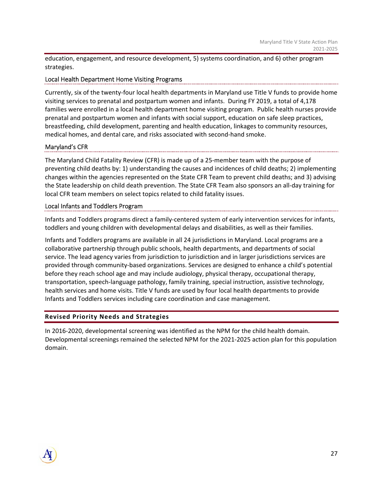education, engagement, and resource development, 5) systems coordination, and 6) other program strategies.

# Local Health Department Home Visiting Programs

Currently, six of the twenty‐four local health departments in Maryland use Title V funds to provide home visiting services to prenatal and postpartum women and infants. During FY 2019, a total of 4,178 families were enrolled in a local health department home visiting program. Public health nurses provide prenatal and postpartum women and infants with social support, education on safe sleep practices, breastfeeding, child development, parenting and health education, linkages to community resources, medical homes, and dental care, and risks associated with second‐hand smoke.

#### Maryland's CFR

The Maryland Child Fatality Review (CFR) is made up of a 25‐member team with the purpose of preventing child deaths by: 1) understanding the causes and incidences of child deaths; 2) implementing changes within the agencies represented on the State CFR Team to prevent child deaths; and 3) advising the State leadership on child death prevention. The State CFR Team also sponsors an all‐day training for local CFR team members on select topics related to child fatality issues.

#### Local Infants and Toddlers Program

Infants and Toddlers programs direct a family‐centered system of early intervention services for infants, toddlers and young children with developmental delays and disabilities, as well as their families.

Infants and Toddlers programs are available in all 24 jurisdictions in Maryland. Local programs are a collaborative partnership through public schools, health departments, and departments of social service. The lead agency varies from jurisdiction to jurisdiction and in larger jurisdictions services are provided through community‐based organizations. Services are designed to enhance a child's potential before they reach school age and may include audiology, physical therapy, occupational therapy, transportation, speech‐language pathology, family training, special instruction, assistive technology, health services and home visits. Title V funds are used by four local health departments to provide Infants and Toddlers services including care coordination and case management.

# **Revised Priority Needs and Strategies**

In 2016‐2020, developmental screening was identified as the NPM for the child health domain. Developmental screenings remained the selected NPM for the 2021‐2025 action plan for this population domain.

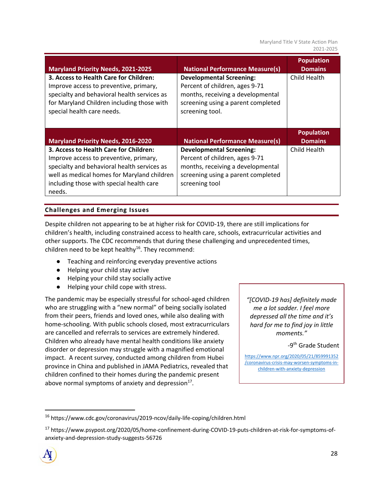Maryland Title V State Action Plan 2021‐2025

| <b>Maryland Priority Needs, 2021-2025</b>                                                                                                                                                                   | <b>National Performance Measure(s)</b>                                                                                                                          | <b>Population</b><br><b>Domains</b> |
|-------------------------------------------------------------------------------------------------------------------------------------------------------------------------------------------------------------|-----------------------------------------------------------------------------------------------------------------------------------------------------------------|-------------------------------------|
| 3. Access to Health Care for Children:<br>Improve access to preventive, primary,<br>specialty and behavioral health services as<br>for Maryland Children including those with<br>special health care needs. | <b>Developmental Screening:</b><br>Percent of children, ages 9-71<br>months, receiving a developmental<br>screening using a parent completed<br>screening tool. | Child Health                        |
| <b>Maryland Priority Needs, 2016-2020</b>                                                                                                                                                                   | <b>National Performance Measure(s)</b>                                                                                                                          | <b>Population</b><br><b>Domains</b> |
| 3. Access to Health Care for Children:                                                                                                                                                                      | <b>Developmental Screening:</b>                                                                                                                                 | Child Health                        |

# **Challenges and Emerging Issues**

Despite children not appearing to be at higher risk for COVID‐19, there are still implications for children's health, including constrained access to health care, schools, extracurricular activities and other supports. The CDC recommends that during these challenging and unprecedented times, children need to be kept healthy<sup>16</sup>. They recommend:

- Teaching and reinforcing everyday preventive actions
- Helping your child stay active
- Helping your child stay socially active
- Helping your child cope with stress.

The pandemic may be especially stressful for school‐aged children who are struggling with a "new normal" of being socially isolated from their peers, friends and loved ones, while also dealing with home-schooling. With public schools closed, most extracurriculars are cancelled and referrals to services are extremely hindered. Children who already have mental health conditions like anxiety disorder or depression may struggle with a magnified emotional impact. A recent survey, conducted among children from Hubei province in China and published in JAMA Pediatrics, revealed that children confined to their homes during the pandemic present above normal symptoms of anxiety and depression $^{17}$ .

*"[COVID‐19 has] definitely made me a lot sadder. I feel more depressed all the time and it's hard for me to find joy in little moments."*

-9<sup>th</sup> Grade Student

https://www.npr.org/2020/05/21/859991352 /coronavirus‐crisis‐may‐worsen‐symptoms‐in‐ children‐with‐anxiety‐depression

<sup>&</sup>lt;sup>17</sup> https://www.psypost.org/2020/05/home‐confinement‐during‐COVID‐19‐puts‐children‐at‐risk‐for‐symptoms‐of‐ anxiety‐and‐depression‐study‐suggests‐56726



<sup>16</sup> https://www.cdc.gov/coronavirus/2019‐ncov/daily‐life‐coping/children.html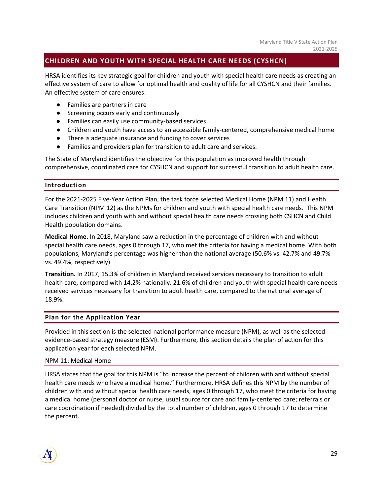# **CHILDREN AND YOUTH WITH SPECIAL HEALTH CARE NEEDS (CYSHCN)**

HRSA identifies its key strategic goal for children and youth with special health care needs as creating an effective system of care to allow for optimal health and quality of life for all CYSHCN and their families. An effective system of care ensures:

- Families are partners in care
- Screening occurs early and continuously
- Families can easily use community-based services
- Children and youth have access to an accessible family-centered, comprehensive medical home
- There is adequate insurance and funding to cover services
- Families and providers plan for transition to adult care and services.

The State of Maryland identifies the objective for this population as improved health through comprehensive, coordinated care for CYSHCN and support for successful transition to adult health care.

#### **Introduction**

For the 2021‐2025 Five‐Year Action Plan, the task force selected Medical Home (NPM 11) and Health Care Transition (NPM 12) as the NPMs for children and youth with special health care needs. This NPM includes children and youth with and without special health care needs crossing both CSHCN and Child Health population domains.

**Medical Home.** In 2018, Maryland saw a reduction in the percentage of children with and without special health care needs, ages 0 through 17, who met the criteria for having a medical home. With both populations, Maryland's percentage was higher than the national average (50.6% vs. 42.7% and 49.7% vs. 49.4%, respectively).

**Transition.** In 2017, 15.3% of children in Maryland received services necessary to transition to adult health care, compared with 14.2% nationally. 21.6% of children and youth with special health care needs received services necessary for transition to adult health care, compared to the national average of 18.9%.

#### **Plan for the Application Year**

Provided in this section is the selected national performance measure (NPM), as well as the selected evidence-based strategy measure (ESM). Furthermore, this section details the plan of action for this application year for each selected NPM.

#### NPM 11: Medical Home

HRSA states that the goal for this NPM is "to increase the percent of children with and without special health care needs who have a medical home." Furthermore, HRSA defines this NPM by the number of children with and without special health care needs, ages 0 through 17, who meet the criteria for having a medical home (personal doctor or nurse, usual source for care and family‐centered care; referrals or care coordination if needed) divided by the total number of children, ages 0 through 17 to determine the percent.

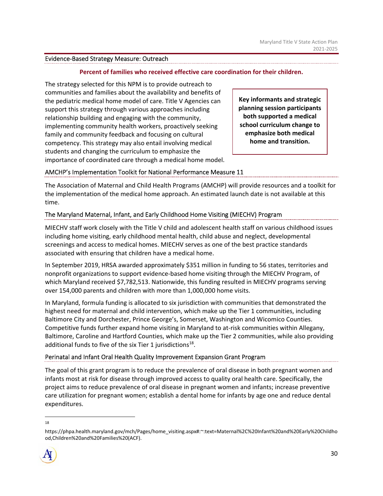#### Evidence‐Based Strategy Measure: Outreach

#### **Percent of families who received effective care coordination for their children.**

The strategy selected for this NPM is to provide outreach to communities and families about the availability and benefits of the pediatric medical home model of care. Title V Agencies can support this strategy through various approaches including relationship building and engaging with the community, implementing community health workers, proactively seeking family and community feedback and focusing on cultural competency. This strategy may also entail involving medical students and changing the curriculum to emphasize the importance of coordinated care through a medical home model.

**Key informants and strategic planning session participants both supported a medical school curriculum change to emphasize both medical home and transition.**

# AMCHP's Implementation Toolkit for National Performance Measure 11

The Association of Maternal and Child Health Programs (AMCHP) will provide resources and a toolkit for the implementation of the medical home approach. An estimated launch date is not available at this time.

# The Maryland Maternal, Infant, and Early Childhood Home Visiting (MIECHV) Program

MIECHV staff work closely with the Title V child and adolescent health staff on various childhood issues including home visiting, early childhood mental health, child abuse and neglect, developmental screenings and access to medical homes. MIECHV serves as one of the best practice standards associated with ensuring that children have a medical home.

In September 2019, HRSA awarded approximately \$351 million in funding to 56 states, territories and nonprofit organizations to support evidence‐based home visiting through the MIECHV Program, of which Maryland received \$7,782,513. Nationwide, this funding resulted in MIECHV programs serving over 154,000 parents and children with more than 1,000,000 home visits.

In Maryland, formula funding is allocated to six jurisdiction with communities that demonstrated the highest need for maternal and child intervention, which make up the Tier 1 communities, including Baltimore City and Dorchester, Prince George's, Somerset, Washington and Wicomico Counties. Competitive funds further expand home visiting in Maryland to at‐risk communities within Allegany, Baltimore, Caroline and Hartford Counties, which make up the Tier 2 communities, while also providing additional funds to five of the six Tier 1 jurisdictions<sup>18</sup>.

#### Perinatal and Infant Oral Health Quality Improvement Expansion Grant Program

The goal of this grant program is to reduce the prevalence of oral disease in both pregnant women and infants most at risk for disease through improved access to quality oral health care. Specifically, the project aims to reduce prevalence of oral disease in pregnant women and infants; increase preventive care utilization for pregnant women; establish a dental home for infants by age one and reduce dental expenditures.

18

https://phpa.health.maryland.gov/mch/Pages/home\_visiting.aspx#:~:text=Maternal%2C%20Infant%20and%20Early%20Childho od,Children%20and%20Families%20(ACF).

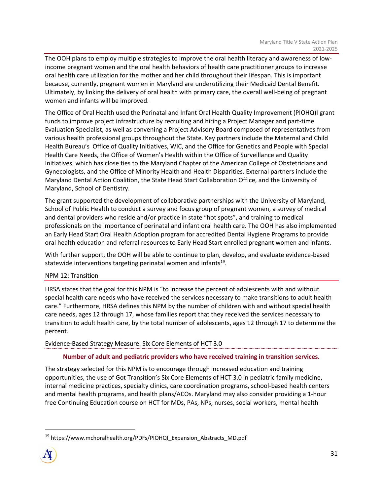The OOH plans to employ multiple strategies to improve the oral health literacy and awareness of low‐ income pregnant women and the oral health behaviors of health care practitioner groups to increase oral health care utilization for the mother and her child throughout their lifespan. This is important because, currently, pregnant women in Maryland are underutilizing their Medicaid Dental Benefit. Ultimately, by linking the delivery of oral health with primary care, the overall well‐being of pregnant women and infants will be improved.

The Office of Oral Health used the Perinatal and Infant Oral Health Quality Improvement (PIOHQ)I grant funds to improve project infrastructure by recruiting and hiring a Project Manager and part‐time Evaluation Specialist, as well as convening a Project Advisory Board composed of representatives from various health professional groups throughout the State. Key partners include the Maternal and Child Health Bureau's Office of Quality Initiatives, WIC, and the Office for Genetics and People with Special Health Care Needs, the Office of Women's Health within the Office of Surveillance and Quality Initiatives, which has close ties to the Maryland Chapter of the American College of Obstetricians and Gynecologists, and the Office of Minority Health and Health Disparities. External partners include the Maryland Dental Action Coalition, the State Head Start Collaboration Office, and the University of Maryland, School of Dentistry.

The grant supported the development of collaborative partnerships with the University of Maryland, School of Public Health to conduct a survey and focus group of pregnant women, a survey of medical and dental providers who reside and/or practice in state "hot spots", and training to medical professionals on the importance of perinatal and infant oral health care. The OOH has also implemented an Early Head Start Oral Health Adoption program for accredited Dental Hygiene Programs to provide oral health education and referral resources to Early Head Start enrolled pregnant women and infants.

With further support, the OOH will be able to continue to plan, develop, and evaluate evidence-based statewide interventions targeting perinatal women and infants $19$ .

# NPM 12: Transition

HRSA states that the goal for this NPM is "to increase the percent of adolescents with and without special health care needs who have received the services necessary to make transitions to adult health care." Furthermore, HRSA defines this NPM by the number of children with and without special health care needs, ages 12 through 17, whose families report that they received the services necessary to transition to adult health care, by the total number of adolescents, ages 12 through 17 to determine the percent.

# Evidence‐Based Strategy Measure: Six Core Elements of HCT 3.0

# **Number of adult and pediatric providers who have received training in transition services.**

The strategy selected for this NPM is to encourage through increased education and training opportunities, the use of Got Transition's Six Core Elements of HCT 3.0 in pediatric family medicine, internal medicine practices, specialty clinics, care coordination programs, school‐based health centers and mental health programs, and health plans/ACOs. Maryland may also consider providing a 1‐hour free Continuing Education course on HCT for MDs, PAs, NPs, nurses, social workers, mental health

<sup>&</sup>lt;sup>19</sup> https://www.mchoralhealth.org/PDFs/PIOHQI\_Expansion\_Abstracts\_MD.pdf

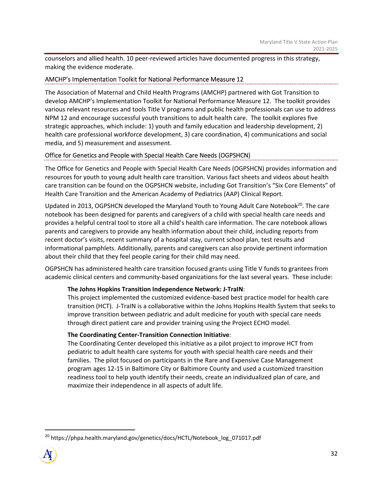counselors and allied health. 10 peer-reviewed articles have documented progress in this strategy, making the evidence moderate.

# AMCHP's Implementation Toolkit for National Performance Measure 12

The Association of Maternal and Child Health Programs (AMCHP) partnered with Got Transition to develop AMCHP's Implementation Toolkit for National Performance Measure 12. The toolkit provides various relevant resources and tools Title V programs and public health professionals can use to address NPM 12 and encourage successful youth transitions to adult health care. The toolkit explores five strategic approaches, which include: 1) youth and family education and leadership development, 2) health care professional workforce development, 3) care coordination, 4) communications and social media, and 5) measurement and assessment.

# Office for Genetics and People with Special Health Care Needs (OGPSHCN)

The Office for Genetics and People with Special Health Care Needs (OGPSHCN) provides information and resources for youth to young adult health care transition. Various fact sheets and videos about health care transition can be found on the OGPSHCN website, including Got Transition's "Six Core Elements" of Health Care Transition and the American Academy of Pediatrics (AAP) Clinical Report.

Updated in 2013, OGPSHCN developed the Maryland Youth to Young Adult Care Notebook<sup>20</sup>. The care notebook has been designed for parents and caregivers of a child with special health care needs and provides a helpful central tool to store all a child's health care information. The care notebook allows parents and caregivers to provide any health information about their child, including reports from recent doctor's visits, recent summary of a hospital stay, current school plan, test results and informational pamphlets. Additionally, parents and caregivers can also provide pertinent information about their child that they feel people caring for their child may need.

OGPSHCN has administered health care transition focused grants using Title V funds to grantees from academic clinical centers and community-based organizations for the last several years. These include:

# **The Johns Hopkins Transition Independence Network: J‐TraIN**:

This project implemented the customized evidence‐based best practice model for health care transition (HCT). J‐TraIN is a collaborative within the Johns Hopkins Health System that seeks to improve transition between pediatric and adult medicine for youth with special care needs through direct patient care and provider training using the Project ECHO model.

# **The Coordinating Center‐Transition Connection Initiative**:

The Coordinating Center developed this initiative as a pilot project to improve HCT from pediatric to adult health care systems for youth with special health care needs and their families. The pilot focused on participants in the Rare and Expensive Case Management program ages 12‐15 in Baltimore City or Baltimore County and used a customized transition readiness tool to help youth identify their needs, create an individualized plan of care, and maximize their independence in all aspects of adult life.

<sup>&</sup>lt;sup>20</sup> https://phpa.health.maryland.gov/genetics/docs/HCTL/Notebook log\_071017.pdf

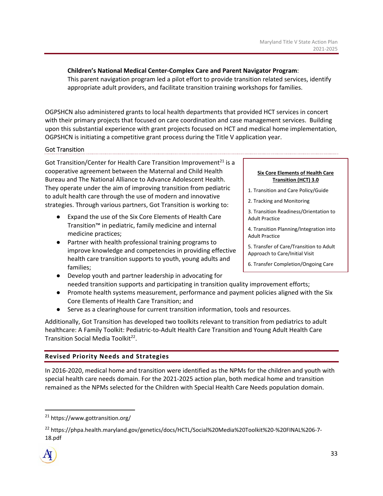# **Children's National Medical Center‐Complex Care and Parent Navigator Program**:

This parent navigation program led a pilot effort to provide transition related services, identify appropriate adult providers, and facilitate transition training workshops for families.

OGPSHCN also administered grants to local health departments that provided HCT services in concert with their primary projects that focused on care coordination and case management services. Building upon this substantial experience with grant projects focused on HCT and medical home implementation, OGPSHCN is initiating a competitive grant process during the Title V application year.

# Got Transition

Got Transition/Center for Health Care Transition Improvement<sup>21</sup> is a cooperative agreement between the Maternal and Child Health Bureau and The National Alliance to Advance Adolescent Health. They operate under the aim of improving transition from pediatric to adult health care through the use of modern and innovative strategies. Through various partners, Got Transition is working to:

- Expand the use of the Six Core Elements of Health Care Transition™ in pediatric, family medicine and internal medicine practices;
- Partner with health professional training programs to improve knowledge and competencies in providing effective health care transition supports to youth, young adults and families;

#### **Six Core Elements of Health Care Transition (HCT) 3.0**

- 1. Transition and Care Policy/Guide
- 2. Tracking and Monitoring

3. Transition Readiness/Orientation to Adult Practice

4. Transition Planning/Integration into Adult Practice

5. Transfer of Care/Transition to Adult Approach to Care/Initial Visit

- 6. Transfer Completion/Ongoing Care
- Develop youth and partner leadership in advocating for needed transition supports and participating in transition quality improvement efforts;
- Promote health systems measurement, performance and payment policies aligned with the Six Core Elements of Health Care Transition; and
- Serve as a clearinghouse for current transition information, tools and resources.

Additionally, Got Transition has developed two toolkits relevant to transition from pediatrics to adult healthcare: A Family Toolkit: Pediatric‐to‐Adult Health Care Transition and Young Adult Health Care Transition Social Media Toolkit<sup>22</sup>.

# **Revised Priority Needs and Strategies**

In 2016‐2020, medical home and transition were identified as the NPMs for the children and youth with special health care needs domain. For the 2021‐2025 action plan, both medical home and transition remained as the NPMs selected for the Children with Special Health Care Needs population domain.

<sup>&</sup>lt;sup>22</sup> https://phpa.health.maryland.gov/genetics/docs/HCTL/Social%20Media%20Toolkit%20-%20FINAL%206-7-18.pdf



<sup>21</sup> https://www.gottransition.org/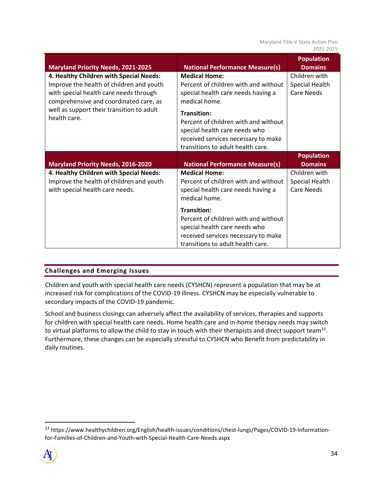Maryland Title V State Action Plan 2021‐2025

| <b>Maryland Priority Needs, 2021-2025</b>                                                                                                                                                                                            | <b>National Performance Measure(s)</b>                                                                                                                                                                                                                                                  | <b>Population</b><br><b>Domains</b>           |
|--------------------------------------------------------------------------------------------------------------------------------------------------------------------------------------------------------------------------------------|-----------------------------------------------------------------------------------------------------------------------------------------------------------------------------------------------------------------------------------------------------------------------------------------|-----------------------------------------------|
| 4. Healthy Children with Special Needs:<br>Improve the health of children and youth<br>with special health care needs through<br>comprehensive and coordinated care, as<br>well as support their transition to adult<br>health care. | <b>Medical Home:</b><br>Percent of children with and without<br>special health care needs having a<br>medical home.<br>Transition:<br>Percent of children with and without<br>special health care needs who<br>received services necessary to make<br>transitions to adult health care. | Children with<br>Special Health<br>Care Needs |
|                                                                                                                                                                                                                                      |                                                                                                                                                                                                                                                                                         |                                               |
|                                                                                                                                                                                                                                      |                                                                                                                                                                                                                                                                                         | <b>Population</b><br><b>Domains</b>           |
| <b>Maryland Priority Needs, 2016-2020</b><br>4. Healthy Children with Special Needs:<br>Improve the health of children and youth<br>with special health care needs.                                                                  | <b>National Performance Measure(s)</b><br><b>Medical Home:</b><br>Percent of children with and without<br>special health care needs having a<br>medical home.                                                                                                                           | Children with<br>Special Health<br>Care Needs |

# **Challenges and Emerging Issues**

Children and youth with special health care needs (CYSHCN) represent a population that may be at increased risk for complications of the COVID‐19 illness. CYSHCN may be especially vulnerable to secondary impacts of the COVID‐19 pandemic.

School and business closings can adversely affect the availability of services, therapies and supports for children with special health care needs. Home health care and in‐home therapy needs may switch to virtual platforms to allow the child to stay in touch with their therapists and direct support team<sup>23</sup>. Furthermore, these changes can be especially stressful to CYSHCN who Benefit from predictability in daily routines.

<sup>&</sup>lt;sup>23</sup> https://www.healthychildren.org/English/health-issues/conditions/chest-lungs/Pages/COVID-19-Informationfor‐Families‐of‐Children‐and‐Youth‐with‐Special‐Health‐Care‐Needs.aspx

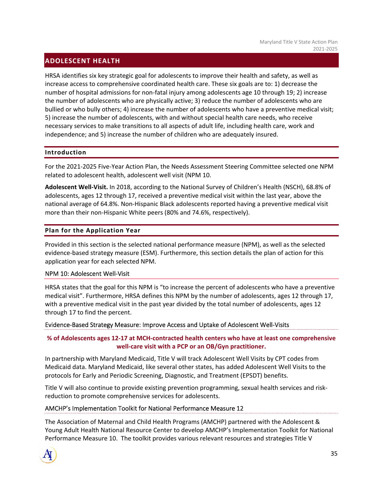# **ADOLESCENT HEALTH**

HRSA identifies six key strategic goal for adolescents to improve their health and safety, as well as increase access to comprehensive coordinated health care. These six goals are to: 1) decrease the number of hospital admissions for non‐fatal injury among adolescents age 10 through 19; 2) increase the number of adolescents who are physically active; 3) reduce the number of adolescents who are bullied or who bully others; 4) increase the number of adolescents who have a preventive medical visit; 5) increase the number of adolescents, with and without special health care needs, who receive necessary services to make transitions to all aspects of adult life, including health care, work and independence; and 5) increase the number of children who are adequately insured.

#### **Introduction**

For the 2021‐2025 Five‐Year Action Plan, the Needs Assessment Steering Committee selected one NPM related to adolescent health, adolescent well visit (NPM 10.

**Adolescent Well‐Visit.** In 2018, according to the National Survey of Children's Health (NSCH), 68.8% of adolescents, ages 12 through 17, received a preventive medical visit within the last year, above the national average of 64.8%. Non‐Hispanic Black adolescents reported having a preventive medical visit more than their non-Hispanic White peers (80% and 74.6%, respectively).

# **Plan for the Application Year**

Provided in this section is the selected national performance measure (NPM), as well as the selected evidence-based strategy measure (ESM). Furthermore, this section details the plan of action for this application year for each selected NPM.

#### NPM 10: Adolescent Well‐Visit

HRSA states that the goal for this NPM is "to increase the percent of adolescents who have a preventive medical visit". Furthermore, HRSA defines this NPM by the number of adolescents, ages 12 through 17, with a preventive medical visit in the past year divided by the total number of adolescents, ages 12 through 17 to find the percent.

#### Evidence‐Based Strategy Measure: Improve Access and Uptake of Adolescent Well‐Visits

# **% of Adolescents ages 12‐17 at MCH‐contracted health centers who have at least one comprehensive well‐care visit with a PCP or an OB/Gyn practitioner.**

In partnership with Maryland Medicaid, Title V will track Adolescent Well Visits by CPT codes from Medicaid data. Maryland Medicaid, like several other states, has added Adolescent Well Visits to the protocols for Early and Periodic Screening, Diagnostic, and Treatment (EPSDT) benefits.

Title V will also continue to provide existing prevention programming, sexual health services and risk‐ reduction to promote comprehensive services for adolescents.

#### AMCHP's Implementation Toolkit for National Performance Measure 12

The Association of Maternal and Child Health Programs (AMCHP) partnered with the Adolescent & Young Adult Health National Resource Center to develop AMCHP's Implementation Toolkit for National Performance Measure 10. The toolkit provides various relevant resources and strategies Title V

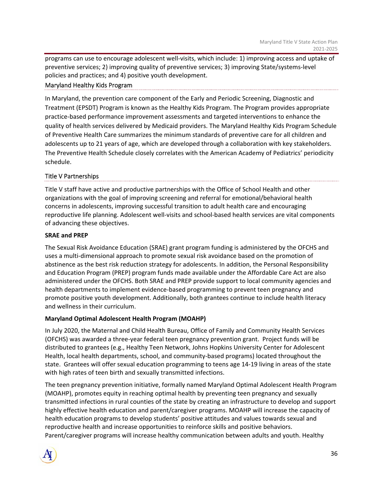programs can use to encourage adolescent well‐visits, which include: 1) improving access and uptake of preventive services; 2) improving quality of preventive services; 3) improving State/systems‐level policies and practices; and 4) positive youth development.

# Maryland Healthy Kids Program

In Maryland, the prevention care component of the Early and Periodic Screening, Diagnostic and Treatment (EPSDT) Program is known as the Healthy Kids Program. The Program provides appropriate practice‐based performance improvement assessments and targeted interventions to enhance the quality of health services delivered by Medicaid providers. The Maryland Healthy Kids Program Schedule of Preventive Health Care summarizes the minimum standards of preventive care for all children and adolescents up to 21 years of age, which are developed through a collaboration with key stakeholders. The Preventive Health Schedule closely correlates with the American Academy of Pediatrics' periodicity schedule.

# Title V Partnerships

Title V staff have active and productive partnerships with the Office of School Health and other organizations with the goal of improving screening and referral for emotional/behavioral health concerns in adolescents, improving successful transition to adult health care and encouraging reproductive life planning. Adolescent well‐visits and school‐based health services are vital components of advancing these objectives.

#### **SRAE and PREP**

The Sexual Risk Avoidance Education (SRAE) grant program funding is administered by the OFCHS and uses a multi‐dimensional approach to promote sexual risk avoidance based on the promotion of abstinence as the best risk reduction strategy for adolescents. In addition, the Personal Responsibility and Education Program (PREP) program funds made available under the Affordable Care Act are also administered under the OFCHS. Both SRAE and PREP provide support to local community agencies and health departments to implement evidence-based programming to prevent teen pregnancy and promote positive youth development. Additionally, both grantees continue to include health literacy and wellness in their curriculum.

#### **Maryland Optimal Adolescent Health Program (MOAHP)**

In July 2020, the Maternal and Child Health Bureau, Office of Family and Community Health Services (OFCHS) was awarded a three‐year federal teen pregnancy prevention grant. Project funds will be distributed to grantees (e.g., Healthy Teen Network, Johns Hopkins University Center for Adolescent Health, local health departments, school, and community‐based programs) located throughout the state. Grantees will offer sexual education programming to teens age 14‐19 living in areas of the state with high rates of teen birth and sexually transmitted infections.

The teen pregnancy prevention initiative, formally named Maryland Optimal Adolescent Health Program (MOAHP), promotes equity in reaching optimal health by preventing teen pregnancy and sexually transmitted infections in rural counties of the state by creating an infrastructure to develop and support highly effective health education and parent/caregiver programs. MOAHP will increase the capacity of health education programs to develop students' positive attitudes and values towards sexual and reproductive health and increase opportunities to reinforce skills and positive behaviors. Parent/caregiver programs will increase healthy communication between adults and youth. Healthy

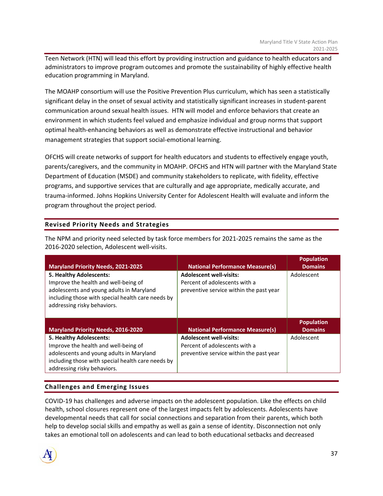Teen Network (HTN) will lead this effort by providing instruction and guidance to health educators and administrators to improve program outcomes and promote the sustainability of highly effective health education programming in Maryland.

The MOAHP consortium will use the Positive Prevention Plus curriculum, which has seen a statistically significant delay in the onset of sexual activity and statistically significant increases in student‐parent communication around sexual health issues. HTN will model and enforce behaviors that create an environment in which students feel valued and emphasize individual and group norms that support optimal health‐enhancing behaviors as well as demonstrate effective instructional and behavior management strategies that support social‐emotional learning.

OFCHS will create networks of support for health educators and students to effectively engage youth, parents/caregivers, and the community in MOAHP. OFCHS and HTN will partner with the Maryland State Department of Education (MSDE) and community stakeholders to replicate, with fidelity, effective programs, and supportive services that are culturally and age appropriate, medically accurate, and trauma‐informed. Johns Hopkins University Center for Adolescent Health will evaluate and inform the program throughout the project period.

# **Revised Priority Needs and Strategies**

The NPM and priority need selected by task force members for 2021‐2025 remains the same as the 2016‐2020 selection, Adolescent well‐visits.

| <b>Maryland Priority Needs, 2021-2025</b>                                                                                                                                                       | <b>National Performance Measure(s)</b>                                                                     | <b>Population</b><br><b>Domains</b> |
|-------------------------------------------------------------------------------------------------------------------------------------------------------------------------------------------------|------------------------------------------------------------------------------------------------------------|-------------------------------------|
| 5. Healthy Adolescents:<br>Improve the health and well-being of<br>adolescents and young adults in Maryland<br>including those with special health care needs by<br>addressing risky behaviors. | <b>Adolescent well-visits:</b><br>Percent of adolescents with a<br>preventive service within the past year | Adolescent                          |
| <b>Maryland Priority Needs, 2016-2020</b>                                                                                                                                                       | <b>National Performance Measure(s)</b>                                                                     | <b>Population</b><br><b>Domains</b> |
| 5. Healthy Adolescents:<br>Improve the health and well-being of<br>adolescents and young adults in Maryland<br>including those with special health care needs by                                | <b>Adolescent well-visits:</b><br>Percent of adolescents with a<br>preventive service within the past year | Adolescent                          |

# **Challenges and Emerging Issues**

COVID‐19 has challenges and adverse impacts on the adolescent population. Like the effects on child health, school closures represent one of the largest impacts felt by adolescents. Adolescents have developmental needs that call for social connections and separation from their parents, which both help to develop social skills and empathy as well as gain a sense of identity. Disconnection not only takes an emotional toll on adolescents and can lead to both educational setbacks and decreased